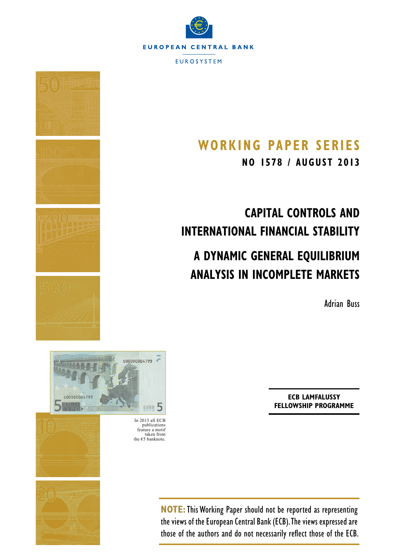



## **Working Paper SerieS**

**NO 1578 / augus t 2013**

# **Capital Controls and International Financial Stability**

## **A Dynamic General Equilibrium Analysis in Incomplete Markets**

Adrian Buss



**EVBR**<sub>5</sub> In 2013 all ECB publications feature a motif taken from the  $€5$  banknote.

\$00000004795



snonnnnn479

**NOTE:**This Working Paper should not be reported as representing the views of the European Central Bank (ECB). The views expressed are those of the authors and do not necessarily reflect those of the ECB.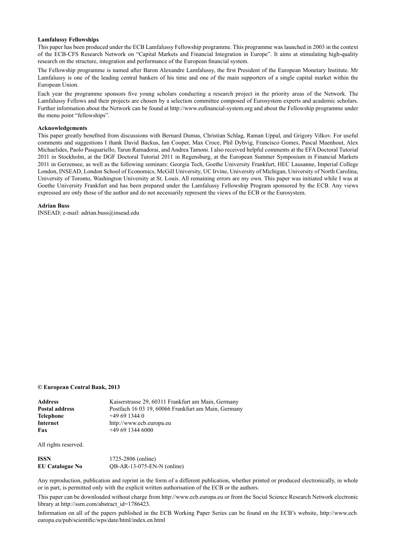#### **Lamfalussy Fellowships**

This paper has been produced under the ECB Lamfalussy Fellowship programme. This programme was launched in 2003 in the context of the ECB-CFS Research Network on "Capital Markets and Financial Integration in Europe". It aims at stimulating high-quality research on the structure, integration and performance of the European financial system.

The Fellowship programme is named after Baron Alexandre Lamfalussy, the first President of the European Monetary Institute. Mr Lamfalussy is one of the leading central bankers of his time and one of the main supporters of a single capital market within the European Union.

Each year the programme sponsors five young scholars conducting a research project in the priority areas of the Network. The Lamfalussy Fellows and their projects are chosen by a selection committee composed of Eurosystem experts and academic scholars. Further information about the Network can be found at http://www.eufinancial-system.org and about the Fellowship programme under the menu point "fellowships".

#### **Acknowledgements**

This paper greatly benefited from discussions with Bernard Dumas, Christian Schlag, Raman Uppal, and Grigory Vilkov. For useful comments and suggestions I thank David Backus, Ian Cooper, Max Croce, Phil Dybvig, Francisco Gomes, Pascal Maenhout, Alex Michaelides, Paolo Pasquariello, Tarun Ramadorai, and Andrea Tamoni. I also received helpful comments at the EFA Doctoral Tutorial 2011 in Stockholm, at the DGF Doctoral Tutorial 2011 in Regensburg, at the European Summer Symposium in Financial Markets 2011 in Gerzensee, as well as the following seminars: Georgia Tech, Goethe University Frankfurt, HEC Lausanne, Imperial College London, INSEAD, London School of Economics, McGill University, UC Irvine, University of Michigan, University of North Carolina, University of Toronto, Washington University at St. Louis. All remaining errors are my own. This paper was initiated while I was at Goethe University Frankfurt and has been prepared under the Lamfalussy Fellowship Program sponsored by the ECB. Any views expressed are only those of the author and do not necessarily represent the views of the ECB or the Eurosystem.

#### **Adrian Buss**

[INSEAD;](http://www.insead.edu/home/) e-mail: [adrian.buss@insead.edu](mailto:adrian.buss%40insead.edu?subject=)

#### **© European Central Bank, 2013**

| Address        | Kaiserstrasse 29, 60311 Frankfurt am Main, Germany  |
|----------------|-----------------------------------------------------|
| Postal address | Postfach 16 03 19, 60066 Frankfurt am Main, Germany |
| Telephone      | $+496913440$                                        |
| Internet       | http://www.ecb.europa.eu                            |
| Fax            | $+496913446000$                                     |
|                |                                                     |

All rights reserved.

| ISSN                   | 1725-2806 (online)           |
|------------------------|------------------------------|
| <b>EU Catalogue No</b> | $QB-AR-13-075-EN-N$ (online) |

Any reproduction, publication and reprint in the form of a different publication, whether printed or produced electronically, in whole or in part, is permitted only with the explicit written authorisation of the ECB or the authors.

This paper can be downloaded without charge from http://www.ecb.europa.eu or from the Social Science Research Network electronic library at http://ssrn.com/abstract\_id=1786423.

Information on all of the papers published in the ECB Working Paper Series can be found on the ECB's website, [http://www.ecb.](http://www.ecb.europa.eu/pub/scientific/wps/date/html/index.en.html) [europa.eu/pub/scientific/wps/date/html/index.en.html](http://www.ecb.europa.eu/pub/scientific/wps/date/html/index.en.html)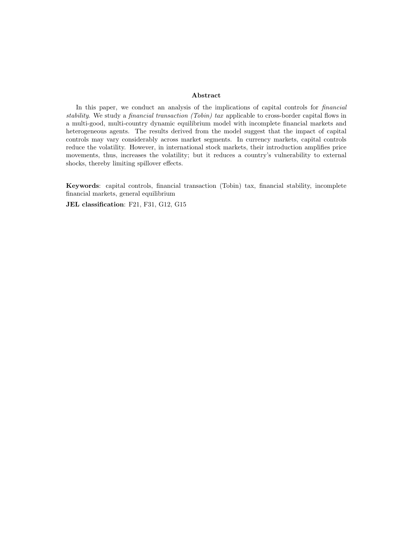#### Abstract

In this paper, we conduct an analysis of the implications of capital controls for financial stability. We study a *financial transaction (Tobin) tax* applicable to cross-border capital flows in a multi-good, multi-country dynamic equilibrium model with incomplete financial markets and heterogeneous agents. The results derived from the model suggest that the impact of capital controls may vary considerably across market segments. In currency markets, capital controls reduce the volatility. However, in international stock markets, their introduction amplifies price movements, thus, increases the volatility; but it reduces a country's vulnerability to external shocks, thereby limiting spillover effects.

Keywords: capital controls, financial transaction (Tobin) tax, financial stability, incomplete financial markets, general equilibrium

JEL classification: F21, F31, G12, G15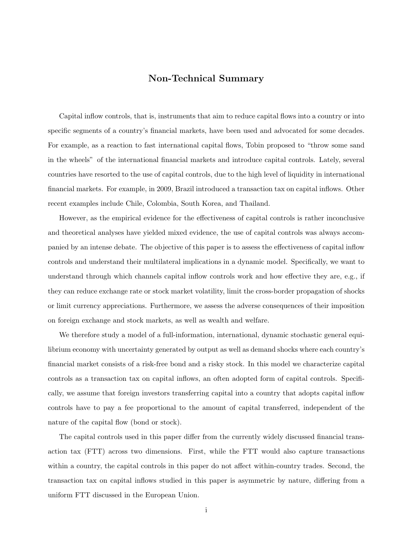## Non-Technical Summary

Capital inflow controls, that is, instruments that aim to reduce capital flows into a country or into specific segments of a country's financial markets, have been used and advocated for some decades. For example, as a reaction to fast international capital flows, Tobin proposed to "throw some sand in the wheels" of the international financial markets and introduce capital controls. Lately, several countries have resorted to the use of capital controls, due to the high level of liquidity in international financial markets. For example, in 2009, Brazil introduced a transaction tax on capital inflows. Other recent examples include Chile, Colombia, South Korea, and Thailand.

However, as the empirical evidence for the effectiveness of capital controls is rather inconclusive and theoretical analyses have yielded mixed evidence, the use of capital controls was always accompanied by an intense debate. The objective of this paper is to assess the effectiveness of capital inflow controls and understand their multilateral implications in a dynamic model. Specifically, we want to understand through which channels capital inflow controls work and how effective they are, e.g., if they can reduce exchange rate or stock market volatility, limit the cross-border propagation of shocks or limit currency appreciations. Furthermore, we assess the adverse consequences of their imposition on foreign exchange and stock markets, as well as wealth and welfare.

We therefore study a model of a full-information, international, dynamic stochastic general equilibrium economy with uncertainty generated by output as well as demand shocks where each country's financial market consists of a risk-free bond and a risky stock. In this model we characterize capital controls as a transaction tax on capital inflows, an often adopted form of capital controls. Specifically, we assume that foreign investors transferring capital into a country that adopts capital inflow controls have to pay a fee proportional to the amount of capital transferred, independent of the nature of the capital flow (bond or stock).

The capital controls used in this paper differ from the currently widely discussed financial transaction tax (FTT) across two dimensions. First, while the FTT would also capture transactions within a country, the capital controls in this paper do not affect within-country trades. Second, the transaction tax on capital inflows studied in this paper is asymmetric by nature, differing from a uniform FTT discussed in the European Union.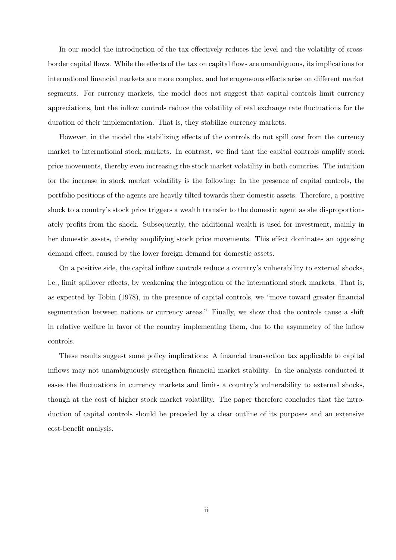In our model the introduction of the tax effectively reduces the level and the volatility of crossborder capital flows. While the effects of the tax on capital flows are unambiguous, its implications for international financial markets are more complex, and heterogeneous effects arise on different market segments. For currency markets, the model does not suggest that capital controls limit currency appreciations, but the inflow controls reduce the volatility of real exchange rate fluctuations for the duration of their implementation. That is, they stabilize currency markets.

However, in the model the stabilizing effects of the controls do not spill over from the currency market to international stock markets. In contrast, we find that the capital controls amplify stock price movements, thereby even increasing the stock market volatility in both countries. The intuition for the increase in stock market volatility is the following: In the presence of capital controls, the portfolio positions of the agents are heavily tilted towards their domestic assets. Therefore, a positive shock to a country's stock price triggers a wealth transfer to the domestic agent as she disproportionately profits from the shock. Subsequently, the additional wealth is used for investment, mainly in her domestic assets, thereby amplifying stock price movements. This effect dominates an opposing demand effect, caused by the lower foreign demand for domestic assets.

On a positive side, the capital inflow controls reduce a country's vulnerability to external shocks, i.e., limit spillover effects, by weakening the integration of the international stock markets. That is, as expected by Tobin (1978), in the presence of capital controls, we "move toward greater financial segmentation between nations or currency areas." Finally, we show that the controls cause a shift in relative welfare in favor of the country implementing them, due to the asymmetry of the inflow controls.

These results suggest some policy implications: A financial transaction tax applicable to capital inflows may not unambiguously strengthen financial market stability. In the analysis conducted it eases the fluctuations in currency markets and limits a country's vulnerability to external shocks, though at the cost of higher stock market volatility. The paper therefore concludes that the introduction of capital controls should be preceded by a clear outline of its purposes and an extensive cost-benefit analysis.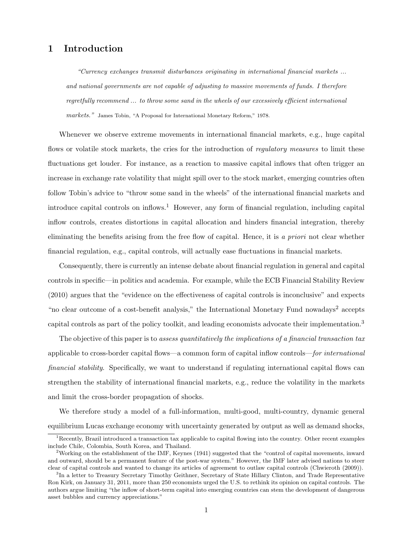## 1 Introduction

"Currency exchanges transmit disturbances originating in international financial markets ... and national governments are not capable of adjusting to massive movements of funds. I therefore regretfully recommend ... to throw some sand in the wheels of our excessively efficient international markets." James Tobin, "A Proposal for International Monetary Reform," 1978.

Whenever we observe extreme movements in international financial markets, e.g., huge capital flows or volatile stock markets, the cries for the introduction of regulatory measures to limit these fluctuations get louder. For instance, as a reaction to massive capital inflows that often trigger an increase in exchange rate volatility that might spill over to the stock market, emerging countries often follow Tobin's advice to "throw some sand in the wheels" of the international financial markets and introduce capital controls on inflows.<sup>1</sup> However, any form of financial regulation, including capital inflow controls, creates distortions in capital allocation and hinders financial integration, thereby eliminating the benefits arising from the free flow of capital. Hence, it is a priori not clear whether financial regulation, e.g., capital controls, will actually ease fluctuations in financial markets.

Consequently, there is currently an intense debate about financial regulation in general and capital controls in specific—in politics and academia. For example, while the ECB Financial Stability Review (2010) argues that the "evidence on the effectiveness of capital controls is inconclusive" and expects "no clear outcome of a cost-benefit analysis," the International Monetary Fund nowadays<sup>2</sup> accepts capital controls as part of the policy toolkit, and leading economists advocate their implementation.<sup>3</sup>

The objective of this paper is to assess quantitatively the implications of a financial transaction tax applicable to cross-border capital flows—a common form of capital inflow controls—for international financial stability. Specifically, we want to understand if regulating international capital flows can strengthen the stability of international financial markets, e.g., reduce the volatility in the markets and limit the cross-border propagation of shocks.

We therefore study a model of a full-information, multi-good, multi-country, dynamic general equilibrium Lucas exchange economy with uncertainty generated by output as well as demand shocks,

 $1$ Recently, Brazil introduced a transaction tax applicable to capital flowing into the country. Other recent examples include Chile, Colombia, South Korea, and Thailand.

<sup>&</sup>lt;sup>2</sup>Working on the establishment of the IMF, Keynes (1941) suggested that the "control of capital movements, inward and outward, should be a permanent feature of the post-war system." However, the IMF later advised nations to steer clear of capital controls and wanted to change its articles of agreement to outlaw capital controls (Chwieroth (2009)).

<sup>&</sup>lt;sup>3</sup>In a letter to Treasury Secretary Timothy Geithner, Secretary of State Hillary Clinton, and Trade Representative Ron Kirk, on January 31, 2011, more than 250 economists urged the U.S. to rethink its opinion on capital controls. The authors argue limiting "the inflow of short-term capital into emerging countries can stem the development of dangerous asset bubbles and currency appreciations."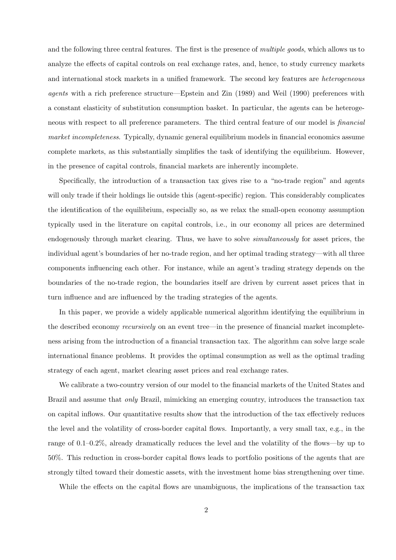and the following three central features. The first is the presence of *multiple goods*, which allows us to analyze the effects of capital controls on real exchange rates, and, hence, to study currency markets and international stock markets in a unified framework. The second key features are *heterogeneous* agents with a rich preference structure—Epstein and Zin (1989) and Weil (1990) preferences with a constant elasticity of substitution consumption basket. In particular, the agents can be heterogeneous with respect to all preference parameters. The third central feature of our model is financial market incompleteness. Typically, dynamic general equilibrium models in financial economics assume complete markets, as this substantially simplifies the task of identifying the equilibrium. However, in the presence of capital controls, financial markets are inherently incomplete.

Specifically, the introduction of a transaction tax gives rise to a "no-trade region" and agents will only trade if their holdings lie outside this (agent-specific) region. This considerably complicates the identification of the equilibrium, especially so, as we relax the small-open economy assumption typically used in the literature on capital controls, i.e., in our economy all prices are determined endogenously through market clearing. Thus, we have to solve *simultaneously* for asset prices, the individual agent's boundaries of her no-trade region, and her optimal trading strategy—with all three components influencing each other. For instance, while an agent's trading strategy depends on the boundaries of the no-trade region, the boundaries itself are driven by current asset prices that in turn influence and are influenced by the trading strategies of the agents.

In this paper, we provide a widely applicable numerical algorithm identifying the equilibrium in the described economy recursively on an event tree—in the presence of financial market incompleteness arising from the introduction of a financial transaction tax. The algorithm can solve large scale international finance problems. It provides the optimal consumption as well as the optimal trading strategy of each agent, market clearing asset prices and real exchange rates.

We calibrate a two-country version of our model to the financial markets of the United States and Brazil and assume that only Brazil, mimicking an emerging country, introduces the transaction tax on capital inflows. Our quantitative results show that the introduction of the tax effectively reduces the level and the volatility of cross-border capital flows. Importantly, a very small tax, e.g., in the range of 0.1–0.2%, already dramatically reduces the level and the volatility of the flows—by up to 50%. This reduction in cross-border capital flows leads to portfolio positions of the agents that are strongly tilted toward their domestic assets, with the investment home bias strengthening over time.

While the effects on the capital flows are unambiguous, the implications of the transaction tax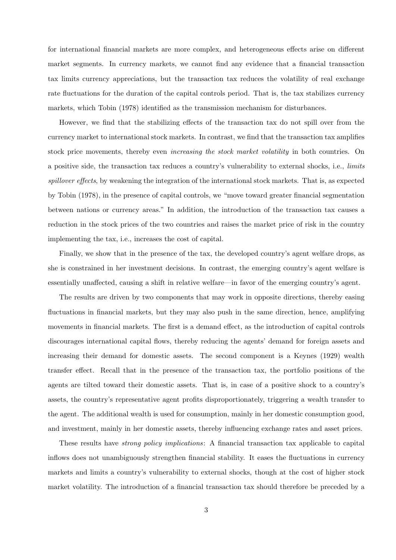for international financial markets are more complex, and heterogeneous effects arise on different market segments. In currency markets, we cannot find any evidence that a financial transaction tax limits currency appreciations, but the transaction tax reduces the volatility of real exchange rate fluctuations for the duration of the capital controls period. That is, the tax stabilizes currency markets, which Tobin (1978) identified as the transmission mechanism for disturbances.

However, we find that the stabilizing effects of the transaction tax do not spill over from the currency market to international stock markets. In contrast, we find that the transaction tax amplifies stock price movements, thereby even *increasing the stock market volatility* in both countries. On a positive side, the transaction tax reduces a country's vulnerability to external shocks, i.e., limits spillover effects, by weakening the integration of the international stock markets. That is, as expected by Tobin (1978), in the presence of capital controls, we "move toward greater financial segmentation between nations or currency areas." In addition, the introduction of the transaction tax causes a reduction in the stock prices of the two countries and raises the market price of risk in the country implementing the tax, i.e., increases the cost of capital.

Finally, we show that in the presence of the tax, the developed country's agent welfare drops, as she is constrained in her investment decisions. In contrast, the emerging country's agent welfare is essentially unaffected, causing a shift in relative welfare—in favor of the emerging country's agent.

The results are driven by two components that may work in opposite directions, thereby easing fluctuations in financial markets, but they may also push in the same direction, hence, amplifying movements in financial markets. The first is a demand effect, as the introduction of capital controls discourages international capital flows, thereby reducing the agents' demand for foreign assets and increasing their demand for domestic assets. The second component is a Keynes (1929) wealth transfer effect. Recall that in the presence of the transaction tax, the portfolio positions of the agents are tilted toward their domestic assets. That is, in case of a positive shock to a country's assets, the country's representative agent profits disproportionately, triggering a wealth transfer to the agent. The additional wealth is used for consumption, mainly in her domestic consumption good, and investment, mainly in her domestic assets, thereby influencing exchange rates and asset prices.

These results have *strong policy implications*: A financial transaction tax applicable to capital inflows does not unambiguously strengthen financial stability. It eases the fluctuations in currency markets and limits a country's vulnerability to external shocks, though at the cost of higher stock market volatility. The introduction of a financial transaction tax should therefore be preceded by a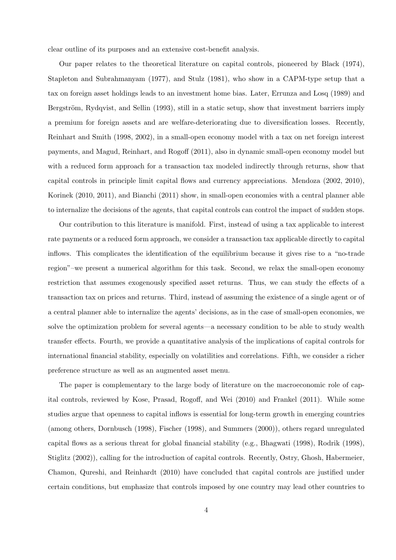clear outline of its purposes and an extensive cost-benefit analysis.

Our paper relates to the theoretical literature on capital controls, pioneered by Black (1974), Stapleton and Subrahmanyam (1977), and Stulz (1981), who show in a CAPM-type setup that a tax on foreign asset holdings leads to an investment home bias. Later, Errunza and Losq (1989) and Bergström, Rydqvist, and Sellin (1993), still in a static setup, show that investment barriers imply a premium for foreign assets and are welfare-deteriorating due to diversification losses. Recently, Reinhart and Smith (1998, 2002), in a small-open economy model with a tax on net foreign interest payments, and Magud, Reinhart, and Rogoff (2011), also in dynamic small-open economy model but with a reduced form approach for a transaction tax modeled indirectly through returns, show that capital controls in principle limit capital flows and currency appreciations. Mendoza (2002, 2010), Korinek (2010, 2011), and Bianchi (2011) show, in small-open economies with a central planner able to internalize the decisions of the agents, that capital controls can control the impact of sudden stops.

Our contribution to this literature is manifold. First, instead of using a tax applicable to interest rate payments or a reduced form approach, we consider a transaction tax applicable directly to capital inflows. This complicates the identification of the equilibrium because it gives rise to a "no-trade region"–we present a numerical algorithm for this task. Second, we relax the small-open economy restriction that assumes exogenously specified asset returns. Thus, we can study the effects of a transaction tax on prices and returns. Third, instead of assuming the existence of a single agent or of a central planner able to internalize the agents' decisions, as in the case of small-open economies, we solve the optimization problem for several agents—a necessary condition to be able to study wealth transfer effects. Fourth, we provide a quantitative analysis of the implications of capital controls for international financial stability, especially on volatilities and correlations. Fifth, we consider a richer preference structure as well as an augmented asset menu.

The paper is complementary to the large body of literature on the macroeconomic role of capital controls, reviewed by Kose, Prasad, Rogoff, and Wei (2010) and Frankel (2011). While some studies argue that openness to capital inflows is essential for long-term growth in emerging countries (among others, Dornbusch (1998), Fischer (1998), and Summers (2000)), others regard unregulated capital flows as a serious threat for global financial stability (e.g., Bhagwati (1998), Rodrik (1998), Stiglitz (2002)), calling for the introduction of capital controls. Recently, Ostry, Ghosh, Habermeier, Chamon, Qureshi, and Reinhardt (2010) have concluded that capital controls are justified under certain conditions, but emphasize that controls imposed by one country may lead other countries to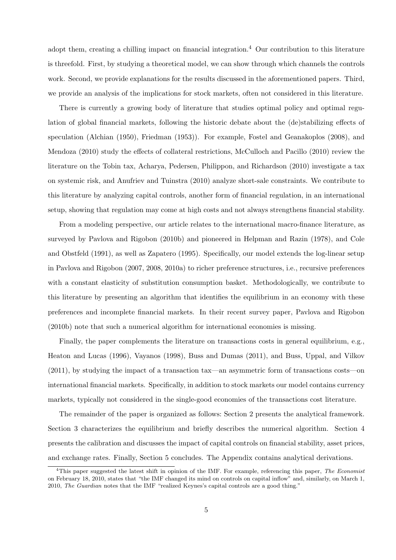adopt them, creating a chilling impact on financial integration.<sup>4</sup> Our contribution to this literature is threefold. First, by studying a theoretical model, we can show through which channels the controls work. Second, we provide explanations for the results discussed in the aforementioned papers. Third, we provide an analysis of the implications for stock markets, often not considered in this literature.

There is currently a growing body of literature that studies optimal policy and optimal regulation of global financial markets, following the historic debate about the (de)stabilizing effects of speculation (Alchian (1950), Friedman (1953)). For example, Fostel and Geanakoplos (2008), and Mendoza (2010) study the effects of collateral restrictions, McCulloch and Pacillo (2010) review the literature on the Tobin tax, Acharya, Pedersen, Philippon, and Richardson (2010) investigate a tax on systemic risk, and Anufriev and Tuinstra (2010) analyze short-sale constraints. We contribute to this literature by analyzing capital controls, another form of financial regulation, in an international setup, showing that regulation may come at high costs and not always strengthens financial stability.

From a modeling perspective, our article relates to the international macro-finance literature, as surveyed by Pavlova and Rigobon (2010b) and pioneered in Helpman and Razin (1978), and Cole and Obstfeld (1991), as well as Zapatero (1995). Specifically, our model extends the log-linear setup in Pavlova and Rigobon (2007, 2008, 2010a) to richer preference structures, i.e., recursive preferences with a constant elasticity of substitution consumption basket. Methodologically, we contribute to this literature by presenting an algorithm that identifies the equilibrium in an economy with these preferences and incomplete financial markets. In their recent survey paper, Pavlova and Rigobon (2010b) note that such a numerical algorithm for international economies is missing.

Finally, the paper complements the literature on transactions costs in general equilibrium, e.g., Heaton and Lucas (1996), Vayanos (1998), Buss and Dumas (2011), and Buss, Uppal, and Vilkov (2011), by studying the impact of a transaction tax—an asymmetric form of transactions costs—on international financial markets. Specifically, in addition to stock markets our model contains currency markets, typically not considered in the single-good economies of the transactions cost literature.

The remainder of the paper is organized as follows: Section 2 presents the analytical framework. Section 3 characterizes the equilibrium and briefly describes the numerical algorithm. Section 4 presents the calibration and discusses the impact of capital controls on financial stability, asset prices, and exchange rates. Finally, Section 5 concludes. The Appendix contains analytical derivations.

 $4$ This paper suggested the latest shift in opinion of the IMF. For example, referencing this paper, The Economist on February 18, 2010, states that "the IMF changed its mind on controls on capital inflow" and, similarly, on March 1, 2010, The Guardian notes that the IMF "realized Keynes's capital controls are a good thing."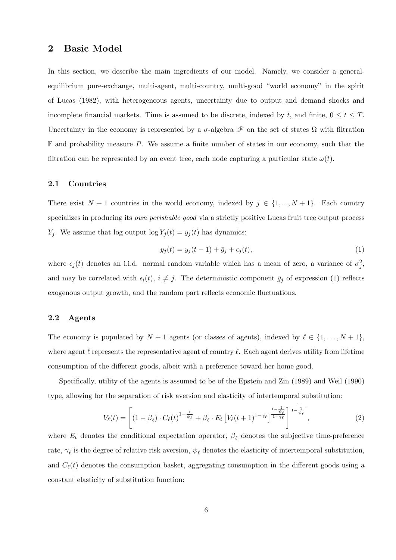## 2 Basic Model

In this section, we describe the main ingredients of our model. Namely, we consider a generalequilibrium pure-exchange, multi-agent, multi-country, multi-good "world economy" in the spirit of Lucas (1982), with heterogeneous agents, uncertainty due to output and demand shocks and incomplete financial markets. Time is assumed to be discrete, indexed by t, and finite,  $0 \le t \le T$ . Uncertainty in the economy is represented by a  $\sigma$ -algebra  $\mathscr F$  on the set of states  $\Omega$  with filtration  $\mathbb F$  and probability measure P. We assume a finite number of states in our economy, such that the filtration can be represented by an event tree, each node capturing a particular state  $\omega(t)$ .

#### 2.1 Countries

There exist  $N + 1$  countries in the world economy, indexed by  $j \in \{1, ..., N + 1\}$ . Each country specializes in producing its own perishable good via a strictly positive Lucas fruit tree output process  $Y_i$ . We assume that log output log  $Y_i(t) = y_i(t)$  has dynamics:

$$
y_j(t) = y_j(t-1) + \bar{g}_j + \epsilon_j(t),\tag{1}
$$

where  $\epsilon_j(t)$  denotes an i.i.d. normal random variable which has a mean of zero, a variance of  $\sigma_j^2$ , and may be correlated with  $\epsilon_i(t)$ ,  $i \neq j$ . The deterministic component  $\bar{g}_j$  of expression (1) reflects exogenous output growth, and the random part reflects economic fluctuations.

## 2.2 Agents

The economy is populated by  $N + 1$  agents (or classes of agents), indexed by  $\ell \in \{1, ..., N + 1\}$ , where agent  $\ell$  represents the representative agent of country  $\ell$ . Each agent derives utility from lifetime consumption of the different goods, albeit with a preference toward her home good.

Specifically, utility of the agents is assumed to be of the Epstein and Zin (1989) and Weil (1990) type, allowing for the separation of risk aversion and elasticity of intertemporal substitution:

$$
V_{\ell}(t) = \left[ \left(1 - \beta_{\ell}\right) \cdot C_{\ell}(t)^{1 - \frac{1}{\psi_{\ell}}} + \beta_{\ell} \cdot E_t \left[ V_{\ell}(t+1)^{1 - \gamma_{\ell}} \right]^{\frac{1 - \frac{1}{\psi_{\ell}}}{1 - \gamma_{\ell}}} \right]^{\frac{1}{1 - \frac{1}{\psi_{\ell}}}},\tag{2}
$$

where  $E_t$  denotes the conditional expectation operator,  $\beta_{\ell}$  denotes the subjective time-preference rate,  $\gamma_{\ell}$  is the degree of relative risk aversion,  $\psi_{\ell}$  denotes the elasticity of intertemporal substitution, and  $C_{\ell}(t)$  denotes the consumption basket, aggregating consumption in the different goods using a constant elasticity of substitution function: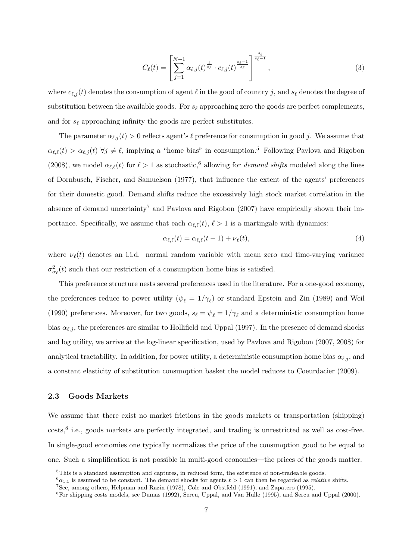$$
C_{\ell}(t) = \left[ \sum_{j=1}^{N+1} \alpha_{\ell,j}(t)^{\frac{1}{s_{\ell}}} \cdot c_{\ell,j}(t)^{\frac{s_{\ell}-1}{s_{\ell}}} \right]^{\frac{s_{\ell}}{s_{\ell}-1}}, \qquad (3)
$$

where  $c_{\ell,j}(t)$  denotes the consumption of agent  $\ell$  in the good of country j, and  $s_{\ell}$  denotes the degree of substitution between the available goods. For  $s_{\ell}$  approaching zero the goods are perfect complements, and for  $s_{\ell}$  approaching infinity the goods are perfect substitutes.

The parameter  $\alpha_{\ell,i}(t) > 0$  reflects agent's  $\ell$  preference for consumption in good j. We assume that  $\alpha_{\ell,\ell}(t) > \alpha_{\ell,j}(t) \ \forall j \neq \ell$ , implying a "home bias" in consumption.<sup>5</sup> Following Pavlova and Rigobon (2008), we model  $\alpha_{\ell,\ell}(t)$  for  $\ell > 1$  as stochastic,<sup>6</sup> allowing for *demand shifts* modeled along the lines of Dornbusch, Fischer, and Samuelson (1977), that influence the extent of the agents' preferences for their domestic good. Demand shifts reduce the excessively high stock market correlation in the absence of demand uncertainty<sup>7</sup> and Pavlova and Rigobon (2007) have empirically shown their importance. Specifically, we assume that each  $\alpha_{\ell,\ell}(t), \ell > 1$  is a martingale with dynamics:

$$
\alpha_{\ell,\ell}(t) = \alpha_{\ell,\ell}(t-1) + \nu_{\ell}(t),\tag{4}
$$

where  $\nu_{\ell}(t)$  denotes an i.i.d. normal random variable with mean zero and time-varying variance  $\sigma_{\alpha_{\ell}}^2(t)$  such that our restriction of a consumption home bias is satisfied.

This preference structure nests several preferences used in the literature. For a one-good economy, the preferences reduce to power utility  $(\psi_{\ell} = 1/\gamma_{\ell})$  or standard Epstein and Zin (1989) and Weil (1990) preferences. Moreover, for two goods,  $s_\ell = \psi_\ell = 1/\gamma_\ell$  and a deterministic consumption home bias  $\alpha_{\ell,i}$ , the preferences are similar to Hollifield and Uppal (1997). In the presence of demand shocks and log utility, we arrive at the log-linear specification, used by Pavlova and Rigobon (2007, 2008) for analytical tractability. In addition, for power utility, a deterministic consumption home bias  $\alpha_{\ell,j}$ , and a constant elasticity of substitution consumption basket the model reduces to Coeurdacier (2009).

## 2.3 Goods Markets

We assume that there exist no market frictions in the goods markets or transportation (shipping)  $\cos\frac{8}{3}$  i.e., goods markets are perfectly integrated, and trading is unrestricted as well as cost-free. In single-good economies one typically normalizes the price of the consumption good to be equal to one. Such a simplification is not possible in multi-good economies—the prices of the goods matter.

 $5$ This is a standard assumption and captures, in reduced form, the existence of non-tradeable goods.

 $^{6}\alpha_{1,1}$  is assumed to be constant. The demand shocks for agents  $\ell > 1$  can then be regarded as *relative* shifts.

<sup>7</sup>See, among others, Helpman and Razin (1978), Cole and Obstfeld (1991), and Zapatero (1995).

<sup>8</sup>For shipping costs models, see Dumas (1992), Sercu, Uppal, and Van Hulle (1995), and Sercu and Uppal (2000).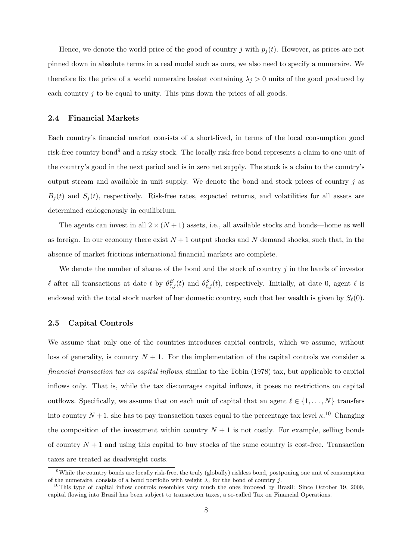Hence, we denote the world price of the good of country j with  $p_i(t)$ . However, as prices are not pinned down in absolute terms in a real model such as ours, we also need to specify a numeraire. We therefore fix the price of a world numeraire basket containing  $\lambda_j > 0$  units of the good produced by each country  $j$  to be equal to unity. This pins down the prices of all goods.

### 2.4 Financial Markets

Each country's financial market consists of a short-lived, in terms of the local consumption good risk-free country bond<sup>9</sup> and a risky stock. The locally risk-free bond represents a claim to one unit of the country's good in the next period and is in zero net supply. The stock is a claim to the country's output stream and available in unit supply. We denote the bond and stock prices of country  $j$  as  $B_i(t)$  and  $S_i(t)$ , respectively. Risk-free rates, expected returns, and volatilities for all assets are determined endogenously in equilibrium.

The agents can invest in all  $2 \times (N+1)$  assets, i.e., all available stocks and bonds—home as well as foreign. In our economy there exist  $N+1$  output shocks and N demand shocks, such that, in the absence of market frictions international financial markets are complete.

We denote the number of shares of the bond and the stock of country  $j$  in the hands of investor l after all transactions at date t by  $\theta_{\ell,j}^B(t)$  and  $\theta_{\ell,j}^S(t)$ , respectively. Initially, at date 0, agent l is endowed with the total stock market of her domestic country, such that her wealth is given by  $S_{\ell}(0)$ .

## 2.5 Capital Controls

We assume that only one of the countries introduces capital controls, which we assume, without loss of generality, is country  $N + 1$ . For the implementation of the capital controls we consider a financial transaction tax on capital inflows, similar to the Tobin (1978) tax, but applicable to capital inflows only. That is, while the tax discourages capital inflows, it poses no restrictions on capital outflows. Specifically, we assume that on each unit of capital that an agent  $\ell \in \{1, \ldots, N\}$  transfers into country  $N+1$ , she has to pay transaction taxes equal to the percentage tax level  $\kappa$ <sup>10</sup> Changing the composition of the investment within country  $N + 1$  is not costly. For example, selling bonds of country  $N + 1$  and using this capital to buy stocks of the same country is cost-free. Transaction taxes are treated as deadweight costs.

<sup>&</sup>lt;sup>9</sup>While the country bonds are locally risk-free, the truly (globally) riskless bond, postponing one unit of consumption of the numeraire, consists of a bond portfolio with weight  $\lambda_j$  for the bond of country j.

<sup>&</sup>lt;sup>10</sup>This type of capital inflow controls resembles very much the ones imposed by Brazil: Since October 19, 2009, capital flowing into Brazil has been subject to transaction taxes, a so-called Tax on Financial Operations.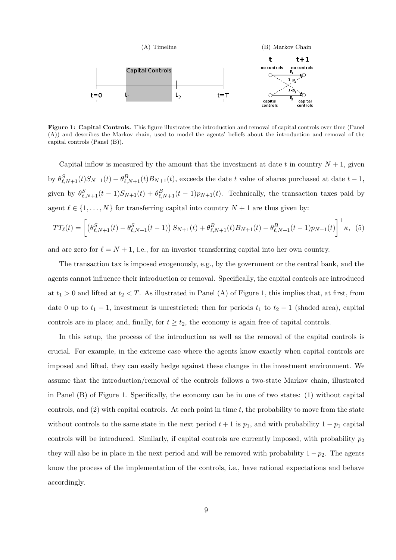

Figure 1: Capital Controls. This figure illustrates the introduction and removal of capital controls over time (Panel (A)) and describes the Markov chain, used to model the agents' beliefs about the introduction and removal of the capital controls (Panel (B)).

Capital inflow is measured by the amount that the investment at date t in country  $N + 1$ , given by  $\theta_{\ell,N+1}^S(t)S_{N+1}(t) + \theta_{\ell,N+1}^B(t)B_{N+1}(t)$ , exceeds the date t value of shares purchased at date  $t-1$ , given by  $\theta_{\ell,N+1}^S(t-1)S_{N+1}(t)+\theta_{\ell,N+1}^B(t-1)p_{N+1}(t)$ . Technically, the transaction taxes paid by agent  $\ell \in \{1, ..., N\}$  for transferring capital into country  $N + 1$  are thus given by:

$$
TT_{\ell}(t) = \left[ \left( \theta_{\ell,N+1}^{S}(t) - \theta_{\ell,N+1}^{S}(t-1) \right) S_{N+1}(t) + \theta_{\ell,N+1}^{B}(t) B_{N+1}(t) - \theta_{\ell,N+1}^{B}(t-1) p_{N+1}(t) \right]^{+} \kappa, \tag{5}
$$

and are zero for  $\ell = N + 1$ , i.e., for an investor transferring capital into her own country.

The transaction tax is imposed exogenously, e.g., by the government or the central bank, and the agents cannot influence their introduction or removal. Specifically, the capital controls are introduced at  $t_1 > 0$  and lifted at  $t_2 < T$ . As illustrated in Panel (A) of Figure 1, this implies that, at first, from date 0 up to  $t_1 - 1$ , investment is unrestricted; then for periods  $t_1$  to  $t_2 - 1$  (shaded area), capital controls are in place; and, finally, for  $t \geq t_2$ , the economy is again free of capital controls.

In this setup, the process of the introduction as well as the removal of the capital controls is crucial. For example, in the extreme case where the agents know exactly when capital controls are imposed and lifted, they can easily hedge against these changes in the investment environment. We assume that the introduction/removal of the controls follows a two-state Markov chain, illustrated in Panel (B) of Figure 1. Specifically, the economy can be in one of two states: (1) without capital controls, and  $(2)$  with capital controls. At each point in time t, the probability to move from the state without controls to the same state in the next period  $t + 1$  is  $p_1$ , and with probability  $1 - p_1$  capital controls will be introduced. Similarly, if capital controls are currently imposed, with probability  $p_2$ they will also be in place in the next period and will be removed with probability  $1 - p_2$ . The agents know the process of the implementation of the controls, i.e., have rational expectations and behave accordingly.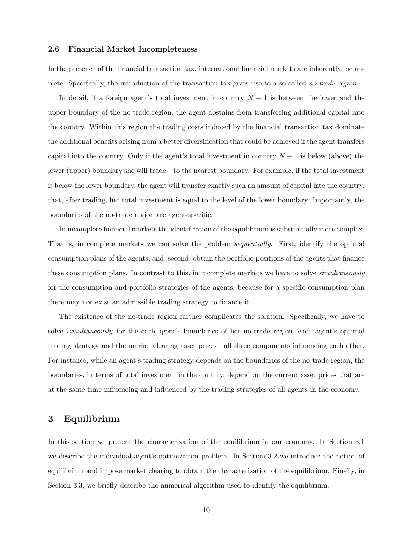## 2.6 Financial Market Incompleteness

In the presence of the financial transaction tax, international financial markets are inherently incomplete. Specifically, the introduction of the transaction tax gives rise to a so-called no-trade region.

In detail, if a foreign agent's total investment in country  $N + 1$  is between the lower and the upper boundary of the no-trade region, the agent abstains from transferring additional capital into the country. Within this region the trading costs induced by the financial transaction tax dominate the additional benefits arising from a better diversification that could be achieved if the agent transfers capital into the country. Only if the agent's total investment in country  $N + 1$  is below (above) the lower (upper) boundary she will trade—to the nearest boundary. For example, if the total investment is below the lower boundary, the agent will transfer exactly such an amount of capital into the country, that, after trading, her total investment is equal to the level of the lower boundary. Importantly, the boundaries of the no-trade region are agent-specific.

In incomplete financial markets the identification of the equilibrium is substantially more complex. That is, in complete markets we can solve the problem sequentially. First, identify the optimal consumption plans of the agents, and, second, obtain the portfolio positions of the agents that finance these consumption plans. In contrast to this, in incomplete markets we have to solve *simultaneously* for the consumption and portfolio strategies of the agents, because for a specific consumption plan there may not exist an admissible trading strategy to finance it.

The existence of the no-trade region further complicates the solution. Specifically, we have to solve *simultaneously* for the each agent's boundaries of her no-trade region, each agent's optimal trading strategy and the market clearing asset prices—all three components influencing each other. For instance, while an agent's trading strategy depends on the boundaries of the no-trade region, the boundaries, in terms of total investment in the country, depend on the current asset prices that are at the same time influencing and influenced by the trading strategies of all agents in the economy.

## 3 Equilibrium

In this section we present the characterization of the equilibrium in our economy. In Section 3.1 we describe the individual agent's optimization problem. In Section 3.2 we introduce the notion of equilibrium and impose market clearing to obtain the characterization of the equilibrium. Finally, in Section 3.3, we briefly describe the numerical algorithm used to identify the equilibrium.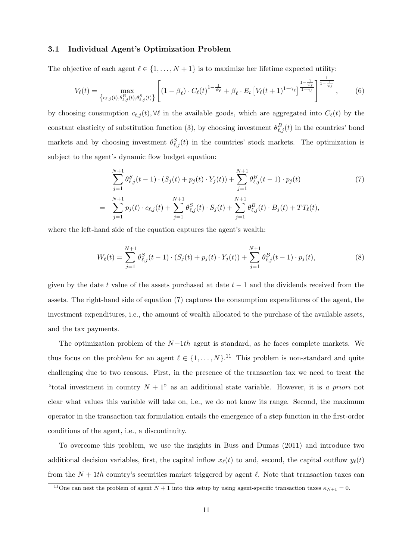## 3.1 Individual Agent's Optimization Problem

The objective of each agent  $\ell \in \{1, \ldots, N+1\}$  is to maximize her lifetime expected utility:

$$
V_{\ell}(t) = \max_{\{c_{\ell,j}(t), \theta_{\ell,j}^{B}(t), \theta_{\ell,j}^{S}(t)\}} \left[ (1 - \beta_{\ell}) \cdot C_{\ell}(t)^{1 - \frac{1}{\psi_{\ell}}} + \beta_{\ell} \cdot E_{t} \left[ V_{\ell}(t+1)^{1 - \gamma_{\ell}} \right]^{\frac{1 - \frac{1}{\psi_{\ell}}}{1 - \gamma_{\ell}}} \right]^{\frac{1}{1 - \frac{1}{\psi_{\ell}}}},
$$
(6)

by choosing consumption  $c_{\ell,j}(t)$ ,  $\forall \ell$  in the available goods, which are aggregated into  $C_{\ell}(t)$  by the constant elasticity of substitution function (3), by choosing investment  $\theta_{\ell,j}^B(t)$  in the countries' bond markets and by choosing investment  $\theta_{\ell,j}^S(t)$  in the countries' stock markets. The optimization is subject to the agent's dynamic flow budget equation:

$$
\sum_{j=1}^{N+1} \theta_{\ell,j}^S(t-1) \cdot (S_j(t) + p_j(t) \cdot Y_j(t)) + \sum_{j=1}^{N+1} \theta_{\ell,j}^B(t-1) \cdot p_j(t)
$$
\n
$$
= \sum_{j=1}^{N+1} p_j(t) \cdot c_{\ell,j}(t) + \sum_{j=1}^{N+1} \theta_{\ell,j}^S(t) \cdot S_j(t) + \sum_{j=1}^{N+1} \theta_{\ell,j}^B(t) \cdot B_j(t) + TT_{\ell}(t),
$$
\n(7)

where the left-hand side of the equation captures the agent's wealth:

$$
W_{\ell}(t) = \sum_{j=1}^{N+1} \theta_{\ell,j}^{S}(t-1) \cdot (S_j(t) + p_j(t) \cdot Y_j(t)) + \sum_{j=1}^{N+1} \theta_{\ell,j}^{B}(t-1) \cdot p_j(t), \tag{8}
$$

given by the date t value of the assets purchased at date  $t - 1$  and the dividends received from the assets. The right-hand side of equation (7) captures the consumption expenditures of the agent, the investment expenditures, i.e., the amount of wealth allocated to the purchase of the available assets, and the tax payments.

The optimization problem of the  $N+1th$  agent is standard, as he faces complete markets. We thus focus on the problem for an agent  $\ell \in \{1, \ldots, N\}$ .<sup>11</sup> This problem is non-standard and quite challenging due to two reasons. First, in the presence of the transaction tax we need to treat the "total investment in country  $N + 1$ " as an additional state variable. However, it is a priori not clear what values this variable will take on, i.e., we do not know its range. Second, the maximum operator in the transaction tax formulation entails the emergence of a step function in the first-order conditions of the agent, i.e., a discontinuity.

To overcome this problem, we use the insights in Buss and Dumas (2011) and introduce two additional decision variables, first, the capital inflow  $x_{\ell}(t)$  to and, second, the capital outflow  $y_{\ell}(t)$ from the  $N + 1$ th country's securities market triggered by agent  $\ell$ . Note that transaction taxes can

<sup>&</sup>lt;sup>11</sup>One can nest the problem of agent  $N + 1$  into this setup by using agent-specific transaction taxes  $\kappa_{N+1} = 0$ .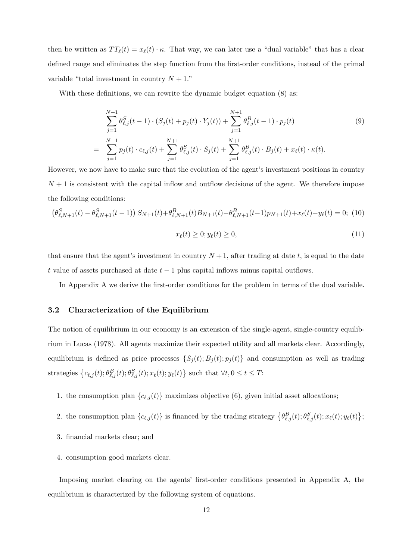then be written as  $TT_{\ell}(t) = x_{\ell}(t) \cdot \kappa$ . That way, we can later use a "dual variable" that has a clear defined range and eliminates the step function from the first-order conditions, instead of the primal variable "total investment in country  $N + 1$ ."

With these definitions, we can rewrite the dynamic budget equation (8) as:

$$
\sum_{j=1}^{N+1} \theta_{\ell,j}^S(t-1) \cdot (S_j(t) + p_j(t) \cdot Y_j(t)) + \sum_{j=1}^{N+1} \theta_{\ell,j}^B(t-1) \cdot p_j(t)
$$
\n
$$
= \sum_{j=1}^{N+1} p_j(t) \cdot c_{\ell,j}(t) + \sum_{j=1}^{N+1} \theta_{\ell,j}^S(t) \cdot S_j(t) + \sum_{j=1}^{N+1} \theta_{\ell,j}^B(t) \cdot B_j(t) + x_{\ell}(t) \cdot \kappa(t).
$$
\n(9)

However, we now have to make sure that the evolution of the agent's investment positions in country  $N+1$  is consistent with the capital inflow and outflow decisions of the agent. We therefore impose the following conditions:

$$
\left(\theta_{\ell,N+1}^{S}(t) - \theta_{\ell,N+1}^{S}(t-1)\right)S_{N+1}(t) + \theta_{\ell,N+1}^{B}(t)B_{N+1}(t) - \theta_{\ell,N+1}^{B}(t-1)p_{N+1}(t) + x_{\ell}(t) - y_{\ell}(t) = 0; \tag{10}
$$

$$
x_{\ell}(t) \ge 0; y_{\ell}(t) \ge 0,\tag{11}
$$

that ensure that the agent's investment in country  $N+1$ , after trading at date t, is equal to the date t value of assets purchased at date  $t - 1$  plus capital inflows minus capital outflows.

In Appendix A we derive the first-order conditions for the problem in terms of the dual variable.

## 3.2 Characterization of the Equilibrium

The notion of equilibrium in our economy is an extension of the single-agent, single-country equilibrium in Lucas (1978). All agents maximize their expected utility and all markets clear. Accordingly, equilibrium is defined as price processes  $\{S_j(t); B_j(t); p_j(t)\}\$ and consumption as well as trading strategies  $\left\{c_{\ell,j}(t)$ ;  $\theta_{\ell,j}^B(t)$ ;  $\theta_{\ell,j}^S(t)$ ;  $x_{\ell}(t)$ ;  $y_{\ell}(t)\right\}$  such that  $\forall t, 0 \leq t \leq T$ :

- 1. the consumption plan  ${c_{\ell,j}(t)}$  maximizes objective (6), given initial asset allocations;
- 2. the consumption plan  $\{c_{\ell,j}(t)\}\$ is financed by the trading strategy  $\{\theta_{\ell,j}^B(t); \theta_{\ell,j}^S(t); x_{\ell}(t); y_{\ell}(t)\}\$
- 3. financial markets clear; and
- 4. consumption good markets clear.

Imposing market clearing on the agents' first-order conditions presented in Appendix A, the equilibrium is characterized by the following system of equations.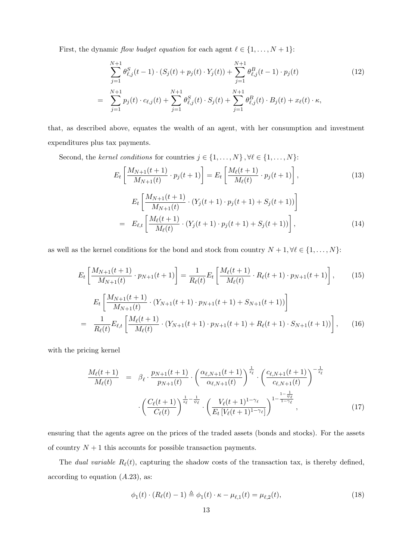First, the dynamic *flow budget equation* for each agent  $\ell \in \{1, ..., N + 1\}$ :

$$
\sum_{j=1}^{N+1} \theta_{\ell,j}^S(t-1) \cdot (S_j(t) + p_j(t) \cdot Y_j(t)) + \sum_{j=1}^{N+1} \theta_{\ell,j}^B(t-1) \cdot p_j(t)
$$
\n
$$
= \sum_{j=1}^{N+1} p_j(t) \cdot c_{\ell,j}(t) + \sum_{j=1}^{N+1} \theta_{\ell,j}^S(t) \cdot S_j(t) + \sum_{j=1}^{N+1} \theta_{\ell,j}^B(t) \cdot B_j(t) + x_{\ell}(t) \cdot \kappa,
$$
\n(12)

that, as described above, equates the wealth of an agent, with her consumption and investment expenditures plus tax payments.

Second, the *kernel conditions* for countries  $j \in \{1, ..., N\}$ ,  $\forall \ell \in \{1, ..., N\}$ :

$$
E_t \left[ \frac{M_{N+1}(t+1)}{M_{N+1}(t)} \cdot p_j(t+1) \right] = E_t \left[ \frac{M_\ell(t+1)}{M_\ell(t)} \cdot p_j(t+1) \right],
$$
\n
$$
E_t \left[ \frac{M_{N+1}(t+1)}{M_{N+1}(t)} \cdot (Y_j(t+1) \cdot p_j(t+1) + S_j(t+1)) \right]
$$
\n
$$
= E_{\ell,t} \left[ \frac{M_\ell(t+1)}{M_\ell(t)} \cdot (Y_j(t+1) \cdot p_j(t+1) + S_j(t+1)) \right],
$$
\n(14)

as well as the kernel conditions for the bond and stock from country  $N + 1, \forall \ell \in \{1, \ldots, N\}$ :

$$
E_{t}\left[\frac{M_{N+1}(t+1)}{M_{N+1}(t)}\cdot p_{N+1}(t+1)\right] = \frac{1}{R_{\ell}(t)}E_{t}\left[\frac{M_{\ell}(t+1)}{M_{\ell}(t)}\cdot R_{\ell}(t+1)\cdot p_{N+1}(t+1)\right],
$$
(15)  

$$
E_{t}\left[\frac{M_{N+1}(t+1)}{M_{N+1}(t)}\cdot (Y_{N+1}(t+1)\cdot p_{N+1}(t+1) + S_{N+1}(t+1))\right]
$$
  

$$
= \frac{1}{R_{\ell}(t)}E_{\ell,t}\left[\frac{M_{\ell}(t+1)}{M_{\ell}(t)}\cdot (Y_{N+1}(t+1)\cdot p_{N+1}(t+1) + R_{\ell}(t+1)\cdot S_{N+1}(t+1))\right],
$$
(16)

with the pricing kernel

$$
\frac{M_{\ell}(t+1)}{M_{\ell}(t)} = \beta_{\ell} \cdot \frac{p_{N+1}(t+1)}{p_{N+1}(t)} \cdot \left(\frac{\alpha_{\ell,N+1}(t+1)}{\alpha_{\ell,N+1}(t)}\right)^{\frac{1}{s_{\ell}}} \cdot \left(\frac{c_{\ell,N+1}(t+1)}{c_{\ell,N+1}(t)}\right)^{-\frac{1}{s_{\ell}}}
$$

$$
\cdot \left(\frac{C_{\ell}(t+1)}{C_{\ell}(t)}\right)^{\frac{1}{s_{\ell}} - \frac{1}{\psi_{\ell}}} \cdot \left(\frac{V_{\ell}(t+1)^{1-\gamma_{\ell}}}{E_{t}\left[V_{\ell}(t+1)^{1-\gamma_{\ell}}\right]}\right)^{\frac{1-\frac{1}{\psi_{\ell}}}{1-\gamma_{\ell}}},\tag{17}
$$

ensuring that the agents agree on the prices of the traded assets (bonds and stocks). For the assets of country  $N + 1$  this accounts for possible transaction payments.

The *dual variable R* $_{\ell}(t)$ , capturing the shadow costs of the transaction tax, is thereby defined, according to equation  $(A.23)$ , as:

$$
\phi_1(t) \cdot (R_\ell(t) - 1) \triangleq \phi_1(t) \cdot \kappa - \mu_{\ell,1}(t) = \mu_{\ell,2}(t),\tag{18}
$$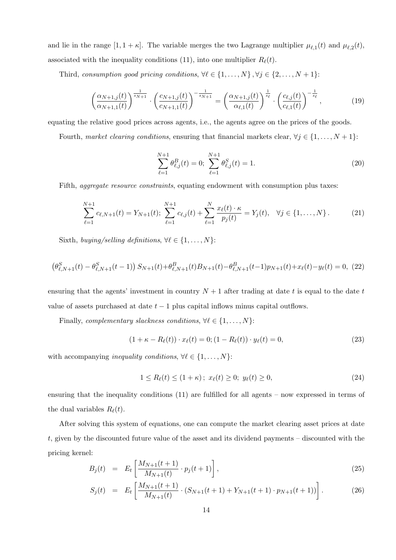and lie in the range  $[1, 1 + \kappa]$ . The variable merges the two Lagrange multiplier  $\mu_{\ell,1}(t)$  and  $\mu_{\ell,2}(t)$ , associated with the inequality conditions (11), into one multiplier  $R_{\ell}(t)$ .

Third, consumption good pricing conditions,  $\forall \ell \in \{1, ..., N\}$ ,  $\forall j \in \{2, ..., N + 1\}$ :

$$
\left(\frac{\alpha_{N+1,j}(t)}{\alpha_{N+1,1}(t)}\right)^{\frac{1}{s_{N+1}}} \cdot \left(\frac{c_{N+1,j}(t)}{c_{N+1,1}(t)}\right)^{-\frac{1}{s_{N+1}}} = \left(\frac{\alpha_{N+1,j}(t)}{\alpha_{\ell,1}(t)}\right)^{\frac{1}{s_{\ell}}} \cdot \left(\frac{c_{\ell,j}(t)}{c_{\ell,1}(t)}\right)^{-\frac{1}{s_{\ell}}},\tag{19}
$$

equating the relative good prices across agents, i.e., the agents agree on the prices of the goods.

Fourth, market clearing conditions, ensuring that financial markets clear,  $\forall j \in \{1, ..., N + 1\}$ :

$$
\sum_{\ell=1}^{N+1} \theta_{\ell,j}^B(t) = 0; \sum_{\ell=1}^{N+1} \theta_{\ell,j}^S(t) = 1.
$$
 (20)

Fifth, *aggregate resource constraints*, equating endowment with consumption plus taxes:

$$
\sum_{\ell=1}^{N+1} c_{\ell,N+1}(t) = Y_{N+1}(t); \sum_{\ell=1}^{N+1} c_{\ell,j}(t) + \sum_{\ell=1}^{N} \frac{x_{\ell}(t) \cdot \kappa}{p_j(t)} = Y_j(t), \quad \forall j \in \{1, \dots, N\}.
$$
 (21)

Sixth, buying/selling definitions,  $\forall \ell \in \{1, \ldots, N\}$ :

$$
\left(\theta_{\ell,N+1}^{S}(t) - \theta_{\ell,N+1}^{S}(t-1)\right)S_{N+1}(t) + \theta_{\ell,N+1}^{B}(t)B_{N+1}(t) - \theta_{\ell,N+1}^{B}(t-1)p_{N+1}(t) + x_{\ell}(t) - y_{\ell}(t) = 0, (22)
$$

ensuring that the agents' investment in country  $N + 1$  after trading at date t is equal to the date t value of assets purchased at date  $t - 1$  plus capital inflows minus capital outflows.

Finally, complementary slackness conditions,  $\forall \ell \in \{1, \ldots, N\}$ :

$$
(1 + \kappa - R_{\ell}(t)) \cdot x_{\ell}(t) = 0; (1 - R_{\ell}(t)) \cdot y_{\ell}(t) = 0,
$$
\n(23)

with accompanying *inequality conditions*,  $\forall \ell \in \{1, \ldots, N\}$ :

$$
1 \le R_{\ell}(t) \le (1 + \kappa); \ x_{\ell}(t) \ge 0; \ y_{\ell}(t) \ge 0,
$$
\n(24)

ensuring that the inequality conditions (11) are fulfilled for all agents – now expressed in terms of the dual variables  $R_{\ell}(t)$ .

After solving this system of equations, one can compute the market clearing asset prices at date t, given by the discounted future value of the asset and its dividend payments – discounted with the pricing kernel:

$$
B_j(t) = E_t \left[ \frac{M_{N+1}(t+1)}{M_{N+1}(t)} \cdot p_j(t+1) \right],
$$
\n(25)

$$
S_j(t) = E_t \left[ \frac{M_{N+1}(t+1)}{M_{N+1}(t)} \cdot (S_{N+1}(t+1) + Y_{N+1}(t+1) \cdot p_{N+1}(t+1)) \right]. \tag{26}
$$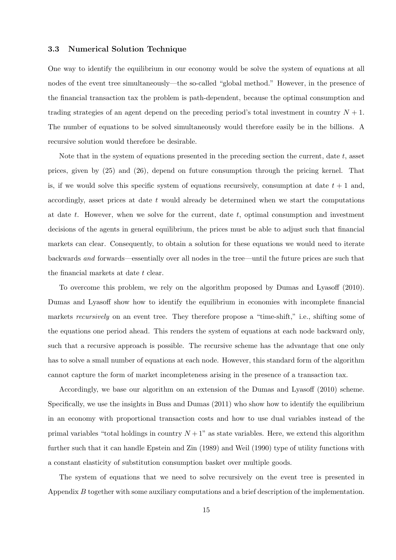#### 3.3 Numerical Solution Technique

One way to identify the equilibrium in our economy would be solve the system of equations at all nodes of the event tree simultaneously—the so-called "global method." However, in the presence of the financial transaction tax the problem is path-dependent, because the optimal consumption and trading strategies of an agent depend on the preceding period's total investment in country  $N + 1$ . The number of equations to be solved simultaneously would therefore easily be in the billions. A recursive solution would therefore be desirable.

Note that in the system of equations presented in the preceding section the current, date  $t$ , asset prices, given by (25) and (26), depend on future consumption through the pricing kernel. That is, if we would solve this specific system of equations recursively, consumption at date  $t + 1$  and, accordingly, asset prices at date t would already be determined when we start the computations at date t. However, when we solve for the current, date t, optimal consumption and investment decisions of the agents in general equilibrium, the prices must be able to adjust such that financial markets can clear. Consequently, to obtain a solution for these equations we would need to iterate backwards and forwards—essentially over all nodes in the tree—until the future prices are such that the financial markets at date t clear.

To overcome this problem, we rely on the algorithm proposed by Dumas and Lyasoff (2010). Dumas and Lyasoff show how to identify the equilibrium in economies with incomplete financial markets *recursively* on an event tree. They therefore propose a "time-shift," i.e., shifting some of the equations one period ahead. This renders the system of equations at each node backward only, such that a recursive approach is possible. The recursive scheme has the advantage that one only has to solve a small number of equations at each node. However, this standard form of the algorithm cannot capture the form of market incompleteness arising in the presence of a transaction tax.

Accordingly, we base our algorithm on an extension of the Dumas and Lyasoff (2010) scheme. Specifically, we use the insights in Buss and Dumas (2011) who show how to identify the equilibrium in an economy with proportional transaction costs and how to use dual variables instead of the primal variables "total holdings in country  $N + 1$ " as state variables. Here, we extend this algorithm further such that it can handle Epstein and Zin (1989) and Weil (1990) type of utility functions with a constant elasticity of substitution consumption basket over multiple goods.

The system of equations that we need to solve recursively on the event tree is presented in Appendix B together with some auxiliary computations and a brief description of the implementation.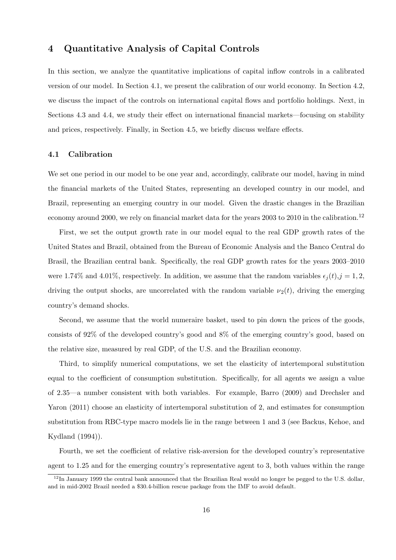## 4 Quantitative Analysis of Capital Controls

In this section, we analyze the quantitative implications of capital inflow controls in a calibrated version of our model. In Section 4.1, we present the calibration of our world economy. In Section 4.2, we discuss the impact of the controls on international capital flows and portfolio holdings. Next, in Sections 4.3 and 4.4, we study their effect on international financial markets—focusing on stability and prices, respectively. Finally, in Section 4.5, we briefly discuss welfare effects.

## 4.1 Calibration

We set one period in our model to be one year and, accordingly, calibrate our model, having in mind the financial markets of the United States, representing an developed country in our model, and Brazil, representing an emerging country in our model. Given the drastic changes in the Brazilian economy around 2000, we rely on financial market data for the years 2003 to 2010 in the calibration.<sup>12</sup>

First, we set the output growth rate in our model equal to the real GDP growth rates of the United States and Brazil, obtained from the Bureau of Economic Analysis and the Banco Central do Brasil, the Brazilian central bank. Specifically, the real GDP growth rates for the years 2003–2010 were 1.74% and 4.01%, respectively. In addition, we assume that the random variables  $\epsilon_i(t), j = 1, 2$ , driving the output shocks, are uncorrelated with the random variable  $\nu_2(t)$ , driving the emerging country's demand shocks.

Second, we assume that the world numeraire basket, used to pin down the prices of the goods, consists of 92% of the developed country's good and 8% of the emerging country's good, based on the relative size, measured by real GDP, of the U.S. and the Brazilian economy.

Third, to simplify numerical computations, we set the elasticity of intertemporal substitution equal to the coefficient of consumption substitution. Specifically, for all agents we assign a value of 2.35—a number consistent with both variables. For example, Barro (2009) and Drechsler and Yaron (2011) choose an elasticity of intertemporal substitution of 2, and estimates for consumption substitution from RBC-type macro models lie in the range between 1 and 3 (see Backus, Kehoe, and Kydland (1994)).

Fourth, we set the coefficient of relative risk-aversion for the developed country's representative agent to 1.25 and for the emerging country's representative agent to 3, both values within the range

 $12$ In January 1999 the central bank announced that the Brazilian Real would no longer be pegged to the U.S. dollar, and in mid-2002 Brazil needed a \$30.4-billion rescue package from the IMF to avoid default.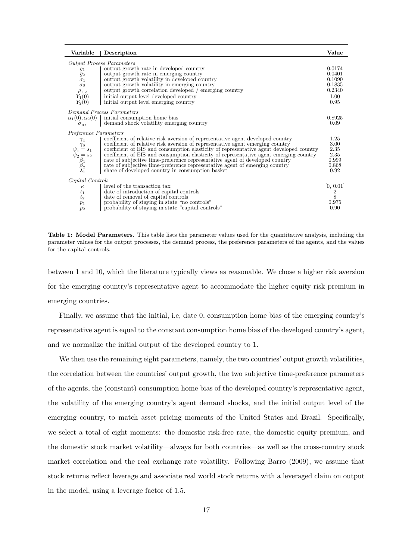| Variable                                                                                                                               | Description                                                                                                                                                                                                                                                                                                                                                                                                                                                                                                                                                               | Value                                                          |
|----------------------------------------------------------------------------------------------------------------------------------------|---------------------------------------------------------------------------------------------------------------------------------------------------------------------------------------------------------------------------------------------------------------------------------------------------------------------------------------------------------------------------------------------------------------------------------------------------------------------------------------------------------------------------------------------------------------------------|----------------------------------------------------------------|
|                                                                                                                                        | <b>Output Process Parameters</b>                                                                                                                                                                                                                                                                                                                                                                                                                                                                                                                                          |                                                                |
| $\frac{\bar{g}_1}{\bar{g}_2}$<br>$\sigma_1$<br>$\sigma_2$<br>$\rho_{1,2}$<br>$Y_1(0)$<br>$Y_2(0)$                                      | output growth rate in developed country<br>output growth rate in emerging country<br>output growth volatility in developed country<br>output growth volatility in emerging country<br>output growth correlation developed / emerging country<br>initial output level developed country<br>initial output level emerging country                                                                                                                                                                                                                                           | 0.0174<br>0.0401<br>0.1090<br>0.1835<br>0.2340<br>1.00<br>0.95 |
|                                                                                                                                        | Demand Process Parameters                                                                                                                                                                                                                                                                                                                                                                                                                                                                                                                                                 |                                                                |
| $\alpha_1(0), \alpha_2(0)$<br>$\sigma_{\alpha}$                                                                                        | initial consumption home bias<br>demand shock volatility emerging country                                                                                                                                                                                                                                                                                                                                                                                                                                                                                                 | 0.8925<br>0.09                                                 |
| Preference Parameters<br>$\gamma_1$<br>$\psi_1 \overset{\gamma_2}{=} s_1$<br>$\psi_2^1 = s_2$<br>$\beta_1$<br>$\beta_2$<br>$\lambda_1$ | coefficient of relative risk aversion of representative agent developed country<br>coefficient of relative risk aversion of representative agent emerging country<br>coefficient of EIS and consumption elasticity of representative agent developed country<br>coefficient of EIS and consumption elasticity of representative agent emerging country<br>rate of subjective time-preference representative agent of developed country<br>rate of subjective time-preference representative agent of emerging country<br>share of developed country in consumption basket | 1.25<br>3.00<br>2.35<br>2.35<br>0.999<br>0.868<br>0.92         |
| Capital Controls                                                                                                                       |                                                                                                                                                                                                                                                                                                                                                                                                                                                                                                                                                                           |                                                                |
| $\kappa$<br>$t_1$<br>t <sub>2</sub><br>$p_1$<br>$p_2$                                                                                  | level of the transaction tax<br>date of introduction of capital controls<br>date of removal of capital controls<br>probability of staying in state "no controls"<br>probability of staying in state "capital controls"                                                                                                                                                                                                                                                                                                                                                    | 0, 0.01 <br>$\frac{2}{8}$<br>0.975<br>0.90                     |

Table 1: Model Parameters. This table lists the parameter values used for the quantitative analysis, including the parameter values for the output processes, the demand process, the preference parameters of the agents, and the values for the capital controls.

between 1 and 10, which the literature typically views as reasonable. We chose a higher risk aversion for the emerging country's representative agent to accommodate the higher equity risk premium in emerging countries.

Finally, we assume that the initial, i.e, date 0, consumption home bias of the emerging country's representative agent is equal to the constant consumption home bias of the developed country's agent, and we normalize the initial output of the developed country to 1.

We then use the remaining eight parameters, namely, the two countries' output growth volatilities, the correlation between the countries' output growth, the two subjective time-preference parameters of the agents, the (constant) consumption home bias of the developed country's representative agent, the volatility of the emerging country's agent demand shocks, and the initial output level of the emerging country, to match asset pricing moments of the United States and Brazil. Specifically, we select a total of eight moments: the domestic risk-free rate, the domestic equity premium, and the domestic stock market volatility—always for both countries—as well as the cross-country stock market correlation and the real exchange rate volatility. Following Barro (2009), we assume that stock returns reflect leverage and associate real world stock returns with a leveraged claim on output in the model, using a leverage factor of 1.5.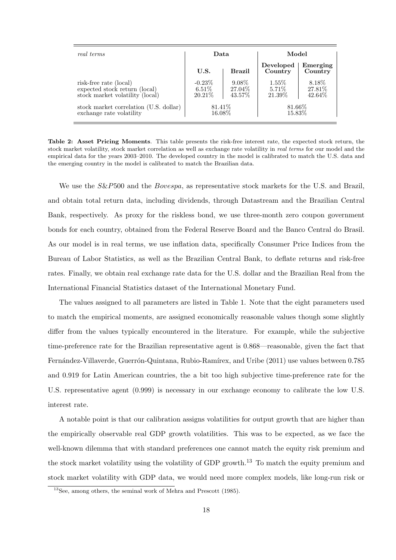| real terms                             | Data      |               | Model                |                     |
|----------------------------------------|-----------|---------------|----------------------|---------------------|
|                                        | U.S.      | <b>Brazil</b> | Developed<br>Country | Emerging<br>Country |
| risk-free rate (local)                 | $-0.23\%$ | 9.08%         | 1.55%                | 8.18%               |
| expected stock return (local)          | $6.51\%$  | 27.04\%       | 5.71\%               | 27.81\%             |
| stock market volatility (local)        | 20.21\%   | 43.57%        | 21.39%               | 42.64%              |
| stock market correlation (U.S. dollar) | 81.41\%   |               | 81.66%               |                     |
| exchange rate volatility               | 16.08%    |               | 15.83%               |                     |

Table 2: Asset Pricing Moments. This table presents the risk-free interest rate, the expected stock return, the stock market volatility, stock market correlation as well as exchange rate volatility in real terms for our model and the empirical data for the years 2003–2010. The developed country in the model is calibrated to match the U.S. data and the emerging country in the model is calibrated to match the Brazilian data.

We use the  $S\&P500$  and the *Bovespa*, as representative stock markets for the U.S. and Brazil, and obtain total return data, including dividends, through Datastream and the Brazilian Central Bank, respectively. As proxy for the riskless bond, we use three-month zero coupon government bonds for each country, obtained from the Federal Reserve Board and the Banco Central do Brasil. As our model is in real terms, we use inflation data, specifically Consumer Price Indices from the Bureau of Labor Statistics, as well as the Brazilian Central Bank, to deflate returns and risk-free rates. Finally, we obtain real exchange rate data for the U.S. dollar and the Brazilian Real from the International Financial Statistics dataset of the International Monetary Fund.

The values assigned to all parameters are listed in Table 1. Note that the eight parameters used to match the empirical moments, are assigned economically reasonable values though some slightly differ from the values typically encountered in the literature. For example, while the subjective time-preference rate for the Brazilian representative agent is 0.868—reasonable, given the fact that Fernández-Villaverde, Guerrón-Quintana, Rubio-Ramírex, and Uribe (2011) use values between 0.785 and 0.919 for Latin American countries, the a bit too high subjective time-preference rate for the U.S. representative agent (0.999) is necessary in our exchange economy to calibrate the low U.S. interest rate.

A notable point is that our calibration assigns volatilities for output growth that are higher than the empirically observable real GDP growth volatilities. This was to be expected, as we face the well-known dilemma that with standard preferences one cannot match the equity risk premium and the stock market volatility using the volatility of GDP growth.<sup>13</sup> To match the equity premium and stock market volatility with GDP data, we would need more complex models, like long-run risk or

<sup>13</sup>See, among others, the seminal work of Mehra and Prescott (1985).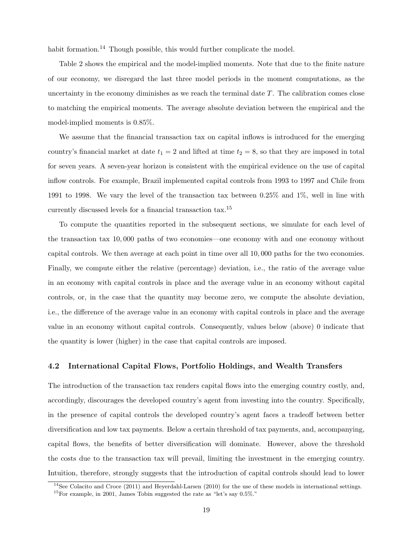habit formation.<sup>14</sup> Though possible, this would further complicate the model.

Table 2 shows the empirical and the model-implied moments. Note that due to the finite nature of our economy, we disregard the last three model periods in the moment computations, as the uncertainty in the economy diminishes as we reach the terminal date  $T$ . The calibration comes close to matching the empirical moments. The average absolute deviation between the empirical and the model-implied moments is 0.85%.

We assume that the financial transaction tax on capital inflows is introduced for the emerging country's financial market at date  $t_1 = 2$  and lifted at time  $t_2 = 8$ , so that they are imposed in total for seven years. A seven-year horizon is consistent with the empirical evidence on the use of capital inflow controls. For example, Brazil implemented capital controls from 1993 to 1997 and Chile from 1991 to 1998. We vary the level of the transaction tax between 0.25% and 1%, well in line with currently discussed levels for a financial transaction tax.<sup>15</sup>

To compute the quantities reported in the subsequent sections, we simulate for each level of the transaction tax 10, 000 paths of two economies—one economy with and one economy without capital controls. We then average at each point in time over all 10, 000 paths for the two economies. Finally, we compute either the relative (percentage) deviation, i.e., the ratio of the average value in an economy with capital controls in place and the average value in an economy without capital controls, or, in the case that the quantity may become zero, we compute the absolute deviation, i.e., the difference of the average value in an economy with capital controls in place and the average value in an economy without capital controls. Consequently, values below (above) 0 indicate that the quantity is lower (higher) in the case that capital controls are imposed.

## 4.2 International Capital Flows, Portfolio Holdings, and Wealth Transfers

The introduction of the transaction tax renders capital flows into the emerging country costly, and, accordingly, discourages the developed country's agent from investing into the country. Specifically, in the presence of capital controls the developed country's agent faces a tradeoff between better diversification and low tax payments. Below a certain threshold of tax payments, and, accompanying, capital flows, the benefits of better diversification will dominate. However, above the threshold the costs due to the transaction tax will prevail, limiting the investment in the emerging country. Intuition, therefore, strongly suggests that the introduction of capital controls should lead to lower

<sup>&</sup>lt;sup>14</sup>See Colacito and Croce (2011) and Heyerdahl-Larsen (2010) for the use of these models in international settings. <sup>15</sup>For example, in 2001, James Tobin suggested the rate as "let's say  $0.5\%$ ."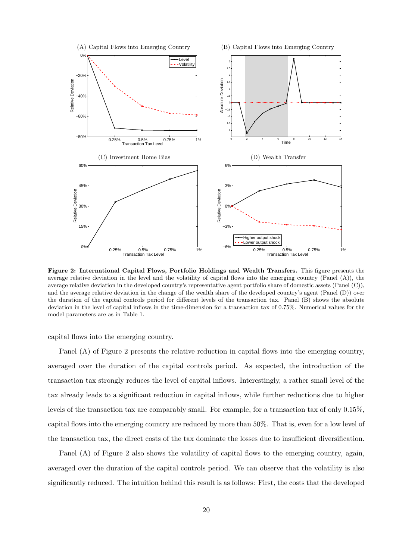

Figure 2: International Capital Flows, Portfolio Holdings and Wealth Transfers. This figure presents the average relative deviation in the level and the volatility of capital flows into the emerging country (Panel  $(A)$ ), the average relative deviation in the developed country's representative agent portfolio share of domestic assets (Panel (C)), and the average relative deviation in the change of the wealth share of the developed country's agent (Panel (D)) over the duration of the capital controls period for different levels of the transaction tax. Panel (B) shows the absolute deviation in the level of capital inflows in the time-dimension for a transaction tax of 0.75%. Numerical values for the model parameters are as in Table 1.

capital flows into the emerging country.

Panel (A) of Figure 2 presents the relative reduction in capital flows into the emerging country, averaged over the duration of the capital controls period. As expected, the introduction of the transaction tax strongly reduces the level of capital inflows. Interestingly, a rather small level of the tax already leads to a significant reduction in capital inflows, while further reductions due to higher levels of the transaction tax are comparably small. For example, for a transaction tax of only 0.15%, capital flows into the emerging country are reduced by more than 50%. That is, even for a low level of the transaction tax, the direct costs of the tax dominate the losses due to insufficient diversification.

Panel (A) of Figure 2 also shows the volatility of capital flows to the emerging country, again, averaged over the duration of the capital controls period. We can observe that the volatility is also significantly reduced. The intuition behind this result is as follows: First, the costs that the developed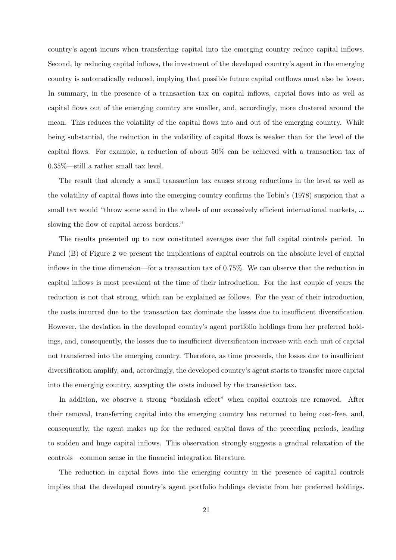country's agent incurs when transferring capital into the emerging country reduce capital inflows. Second, by reducing capital inflows, the investment of the developed country's agent in the emerging country is automatically reduced, implying that possible future capital outflows must also be lower. In summary, in the presence of a transaction tax on capital inflows, capital flows into as well as capital flows out of the emerging country are smaller, and, accordingly, more clustered around the mean. This reduces the volatility of the capital flows into and out of the emerging country. While being substantial, the reduction in the volatility of capital flows is weaker than for the level of the capital flows. For example, a reduction of about 50% can be achieved with a transaction tax of 0.35%—still a rather small tax level.

The result that already a small transaction tax causes strong reductions in the level as well as the volatility of capital flows into the emerging country confirms the Tobin's (1978) suspicion that a small tax would "throw some sand in the wheels of our excessively efficient international markets, ... slowing the flow of capital across borders."

The results presented up to now constituted averages over the full capital controls period. In Panel (B) of Figure 2 we present the implications of capital controls on the absolute level of capital inflows in the time dimension—for a transaction tax of 0.75%. We can observe that the reduction in capital inflows is most prevalent at the time of their introduction. For the last couple of years the reduction is not that strong, which can be explained as follows. For the year of their introduction, the costs incurred due to the transaction tax dominate the losses due to insufficient diversification. However, the deviation in the developed country's agent portfolio holdings from her preferred holdings, and, consequently, the losses due to insufficient diversification increase with each unit of capital not transferred into the emerging country. Therefore, as time proceeds, the losses due to insufficient diversification amplify, and, accordingly, the developed country's agent starts to transfer more capital into the emerging country, accepting the costs induced by the transaction tax.

In addition, we observe a strong "backlash effect" when capital controls are removed. After their removal, transferring capital into the emerging country has returned to being cost-free, and, consequently, the agent makes up for the reduced capital flows of the preceding periods, leading to sudden and huge capital inflows. This observation strongly suggests a gradual relaxation of the controls—common sense in the financial integration literature.

The reduction in capital flows into the emerging country in the presence of capital controls implies that the developed country's agent portfolio holdings deviate from her preferred holdings.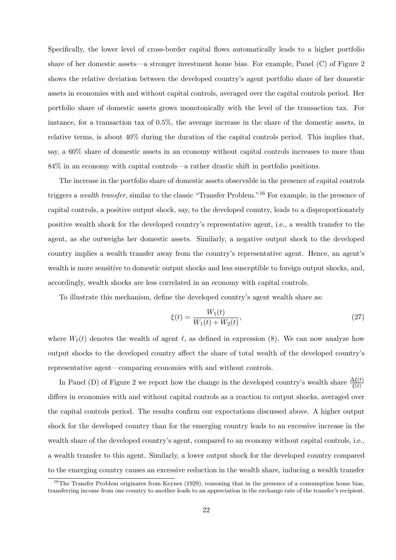Specifically, the lower level of cross-border capital flows automatically leads to a higher portfolio share of her domestic assets—a stronger investment home bias. For example, Panel (C) of Figure 2 shows the relative deviation between the developed country's agent portfolio share of her domestic assets in economies with and without capital controls, averaged over the capital controls period. Her portfolio share of domestic assets grows monotonically with the level of the transaction tax. For instance, for a transaction tax of 0.5%, the average increase in the share of the domestic assets, in relative terms, is about 40% during the duration of the capital controls period. This implies that, say, a 60% share of domestic assets in an economy without capital controls increases to more than 84% in an economy with capital controls—a rather drastic shift in portfolio positions.

The increase in the portfolio share of domestic assets observable in the presence of capital controls triggers a wealth transfer, similar to the classic "Transfer Problem."<sup>16</sup> For example, in the presence of capital controls, a positive output shock, say, to the developed country, leads to a disproportionately positive wealth shock for the developed country's representative agent, i.e., a wealth transfer to the agent, as she outweighs her domestic assets. Similarly, a negative output shock to the developed country implies a wealth transfer away from the country's representative agent. Hence, an agent's wealth is more sensitive to domestic output shocks and less susceptible to foreign output shocks, and, accordingly, wealth shocks are less correlated in an economy with capital controls.

To illustrate this mechanism, define the developed country's agent wealth share as:

$$
\xi(t) = \frac{W_1(t)}{W_1(t) + W_2(t)},\tag{27}
$$

where  $W_{\ell}(t)$  denotes the wealth of agent  $\ell$ , as defined in expression (8). We can now analyze how output shocks to the developed country affect the share of total wealth of the developed country's representative agent—comparing economies with and without controls.

In Panel (D) of Figure 2 we report how the change in the developed country's wealth share  $\frac{\Delta\xi(t)}{\xi(t)}$ differs in economies with and without capital controls as a reaction to output shocks, averaged over the capital controls period. The results confirm our expectations discussed above. A higher output shock for the developed country than for the emerging country leads to an excessive increase in the wealth share of the developed country's agent, compared to an economy without capital controls, i.e., a wealth transfer to this agent. Similarly, a lower output shock for the developed country compared to the emerging country causes an excessive reduction in the wealth share, inducing a wealth transfer

<sup>&</sup>lt;sup>16</sup>The Transfer Problem originates from Keynes (1929), reasoning that in the presence of a consumption home bias, transferring income from one country to another leads to an appreciation in the exchange rate of the transfer's recipient.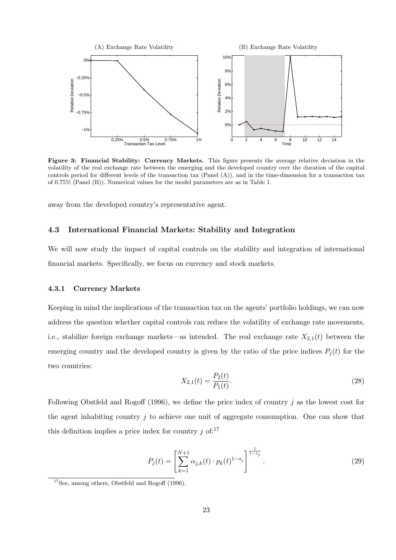

Figure 3: Financial Stability: Currency Markets. This figure presents the average relative deviation in the volatility of the real exchange rate between the emerging and the developed country over the duration of the capital controls period for different levels of the transaction tax (Panel (A)), and in the time-dimension for a transaction tax of 0.75% (Panel (B)). Numerical values for the model parameters are as in Table 1.

away from the developed country's representative agent.

## 4.3 International Financial Markets: Stability and Integration

We will now study the impact of capital controls on the stability and integration of international financial markets. Specifically, we focus on currency and stock markets.

#### 4.3.1 Currency Markets

Keeping in mind the implications of the transaction tax on the agents' portfolio holdings, we can now address the question whether capital controls can reduce the volatility of exchange rate movements, i.e., stabilize foreign exchange markets—as intended. The real exchange rate  $X_{2,1}(t)$  between the emerging country and the developed country is given by the ratio of the price indices  $P_j(t)$  for the two countries:

$$
X_{2,1}(t) = \frac{P_2(t)}{P_1(t)}.\t(28)
$$

Following Obstfeld and Rogoff (1996), we define the price index of country  $j$  as the lowest cost for the agent inhabiting country  $j$  to achieve one unit of aggregate consumption. One can show that this definition implies a price index for country  $j$  of:<sup>17</sup>

$$
P_j(t) = \left[\sum_{k=1}^{N+1} \alpha_{j,k}(t) \cdot p_k(t)^{1-s_j}\right]^{\frac{1}{1-s_j}}.
$$
\n(29)

 $^{17}\mathrm{See},$  among others, Obstfeld and Rogoff (1996).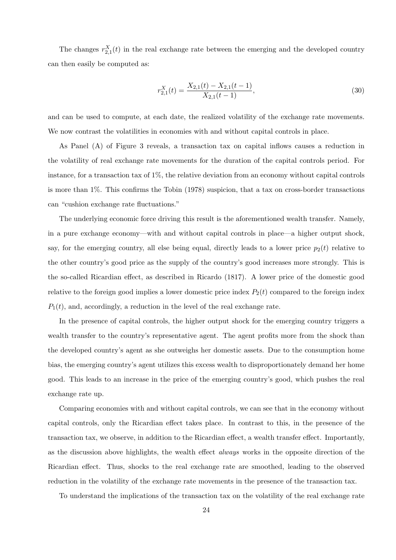The changes  $r_{2,1}^X(t)$  in the real exchange rate between the emerging and the developed country can then easily be computed as:

$$
r_{2,1}^{X}(t) = \frac{X_{2,1}(t) - X_{2,1}(t-1)}{X_{2,1}(t-1)},
$$
\n(30)

and can be used to compute, at each date, the realized volatility of the exchange rate movements. We now contrast the volatilities in economies with and without capital controls in place.

As Panel (A) of Figure 3 reveals, a transaction tax on capital inflows causes a reduction in the volatility of real exchange rate movements for the duration of the capital controls period. For instance, for a transaction tax of  $1\%$ , the relative deviation from an economy without capital controls is more than 1%. This confirms the Tobin (1978) suspicion, that a tax on cross-border transactions can "cushion exchange rate fluctuations."

The underlying economic force driving this result is the aforementioned wealth transfer. Namely, in a pure exchange economy—with and without capital controls in place—a higher output shock, say, for the emerging country, all else being equal, directly leads to a lower price  $p_2(t)$  relative to the other country's good price as the supply of the country's good increases more strongly. This is the so-called Ricardian effect, as described in Ricardo (1817). A lower price of the domestic good relative to the foreign good implies a lower domestic price index  $P_2(t)$  compared to the foreign index  $P_1(t)$ , and, accordingly, a reduction in the level of the real exchange rate.

In the presence of capital controls, the higher output shock for the emerging country triggers a wealth transfer to the country's representative agent. The agent profits more from the shock than the developed country's agent as she outweighs her domestic assets. Due to the consumption home bias, the emerging country's agent utilizes this excess wealth to disproportionately demand her home good. This leads to an increase in the price of the emerging country's good, which pushes the real exchange rate up.

Comparing economies with and without capital controls, we can see that in the economy without capital controls, only the Ricardian effect takes place. In contrast to this, in the presence of the transaction tax, we observe, in addition to the Ricardian effect, a wealth transfer effect. Importantly, as the discussion above highlights, the wealth effect always works in the opposite direction of the Ricardian effect. Thus, shocks to the real exchange rate are smoothed, leading to the observed reduction in the volatility of the exchange rate movements in the presence of the transaction tax.

To understand the implications of the transaction tax on the volatility of the real exchange rate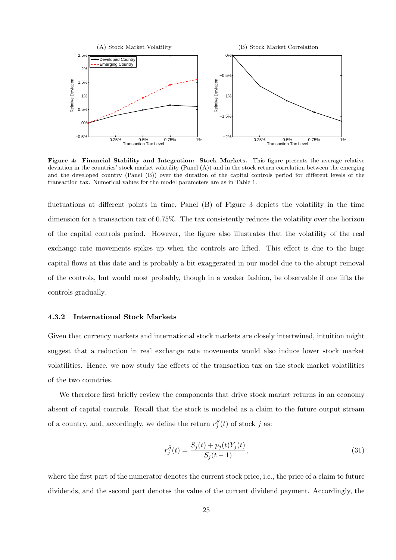

Figure 4: Financial Stability and Integration: Stock Markets. This figure presents the average relative deviation in the countries' stock market volatility (Panel (A)) and in the stock return correlation between the emerging and the developed country (Panel (B)) over the duration of the capital controls period for different levels of the transaction tax. Numerical values for the model parameters are as in Table 1.

fluctuations at different points in time, Panel (B) of Figure 3 depicts the volatility in the time dimension for a transaction tax of 0.75%. The tax consistently reduces the volatility over the horizon of the capital controls period. However, the figure also illustrates that the volatility of the real exchange rate movements spikes up when the controls are lifted. This effect is due to the huge capital flows at this date and is probably a bit exaggerated in our model due to the abrupt removal of the controls, but would most probably, though in a weaker fashion, be observable if one lifts the controls gradually.

#### 4.3.2 International Stock Markets

Given that currency markets and international stock markets are closely intertwined, intuition might suggest that a reduction in real exchange rate movements would also induce lower stock market volatilities. Hence, we now study the effects of the transaction tax on the stock market volatilities of the two countries.

We therefore first briefly review the components that drive stock market returns in an economy absent of capital controls. Recall that the stock is modeled as a claim to the future output stream of a country, and, accordingly, we define the return  $r_j^S(t)$  of stock j as:

$$
r_j^S(t) = \frac{S_j(t) + p_j(t)Y_j(t)}{S_j(t-1)},
$$
\n(31)

where the first part of the numerator denotes the current stock price, i.e., the price of a claim to future dividends, and the second part denotes the value of the current dividend payment. Accordingly, the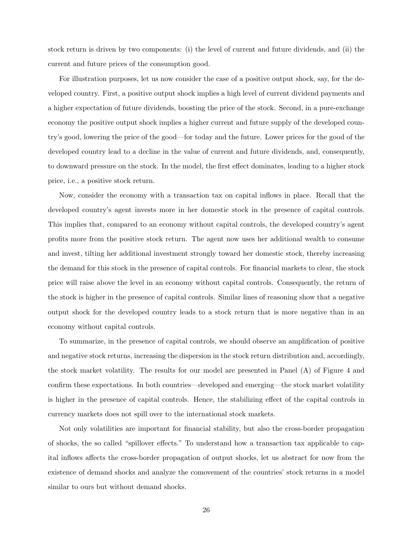stock return is driven by two components: (i) the level of current and future dividends, and (ii) the current and future prices of the consumption good.

For illustration purposes, let us now consider the case of a positive output shock, say, for the developed country. First, a positive output shock implies a high level of current dividend payments and a higher expectation of future dividends, boosting the price of the stock. Second, in a pure-exchange economy the positive output shock implies a higher current and future supply of the developed country's good, lowering the price of the good—for today and the future. Lower prices for the good of the developed country lead to a decline in the value of current and future dividends, and, consequently, to downward pressure on the stock. In the model, the first effect dominates, leading to a higher stock price, i.e., a positive stock return.

Now, consider the economy with a transaction tax on capital inflows in place. Recall that the developed country's agent invests more in her domestic stock in the presence of capital controls. This implies that, compared to an economy without capital controls, the developed country's agent profits more from the positive stock return. The agent now uses her additional wealth to consume and invest, tilting her additional investment strongly toward her domestic stock, thereby increasing the demand for this stock in the presence of capital controls. For financial markets to clear, the stock price will raise above the level in an economy without capital controls. Consequently, the return of the stock is higher in the presence of capital controls. Similar lines of reasoning show that a negative output shock for the developed country leads to a stock return that is more negative than in an economy without capital controls.

To summarize, in the presence of capital controls, we should observe an amplification of positive and negative stock returns, increasing the dispersion in the stock return distribution and, accordingly, the stock market volatility. The results for our model are presented in Panel (A) of Figure 4 and confirm these expectations. In both countries—developed and emerging—the stock market volatility is higher in the presence of capital controls. Hence, the stabilizing effect of the capital controls in currency markets does not spill over to the international stock markets.

Not only volatilities are important for financial stability, but also the cross-border propagation of shocks, the so called "spillover effects." To understand how a transaction tax applicable to capital inflows affects the cross-border propagation of output shocks, let us abstract for now from the existence of demand shocks and analyze the comovement of the countries' stock returns in a model similar to ours but without demand shocks.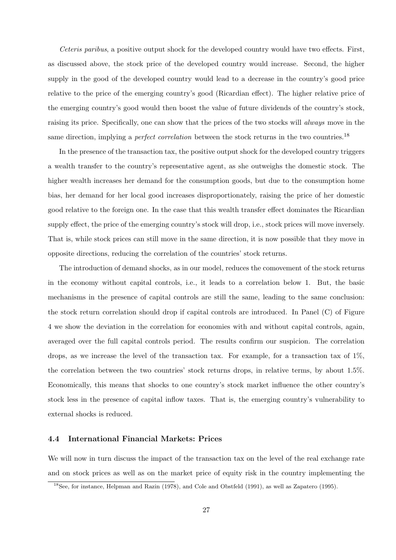Ceteris paribus, a positive output shock for the developed country would have two effects. First, as discussed above, the stock price of the developed country would increase. Second, the higher supply in the good of the developed country would lead to a decrease in the country's good price relative to the price of the emerging country's good (Ricardian effect). The higher relative price of the emerging country's good would then boost the value of future dividends of the country's stock, raising its price. Specifically, one can show that the prices of the two stocks will always move in the same direction, implying a *perfect correlation* between the stock returns in the two countries.<sup>18</sup>

In the presence of the transaction tax, the positive output shock for the developed country triggers a wealth transfer to the country's representative agent, as she outweighs the domestic stock. The higher wealth increases her demand for the consumption goods, but due to the consumption home bias, her demand for her local good increases disproportionately, raising the price of her domestic good relative to the foreign one. In the case that this wealth transfer effect dominates the Ricardian supply effect, the price of the emerging country's stock will drop, i.e., stock prices will move inversely. That is, while stock prices can still move in the same direction, it is now possible that they move in opposite directions, reducing the correlation of the countries' stock returns.

The introduction of demand shocks, as in our model, reduces the comovement of the stock returns in the economy without capital controls, i.e., it leads to a correlation below 1. But, the basic mechanisms in the presence of capital controls are still the same, leading to the same conclusion: the stock return correlation should drop if capital controls are introduced. In Panel (C) of Figure 4 we show the deviation in the correlation for economies with and without capital controls, again, averaged over the full capital controls period. The results confirm our suspicion. The correlation drops, as we increase the level of the transaction tax. For example, for a transaction tax of 1%, the correlation between the two countries' stock returns drops, in relative terms, by about 1.5%. Economically, this means that shocks to one country's stock market influence the other country's stock less in the presence of capital inflow taxes. That is, the emerging country's vulnerability to external shocks is reduced.

### 4.4 International Financial Markets: Prices

We will now in turn discuss the impact of the transaction tax on the level of the real exchange rate and on stock prices as well as on the market price of equity risk in the country implementing the

<sup>&</sup>lt;sup>18</sup>See, for instance, Helpman and Razin (1978), and Cole and Obstfeld (1991), as well as Zapatero (1995).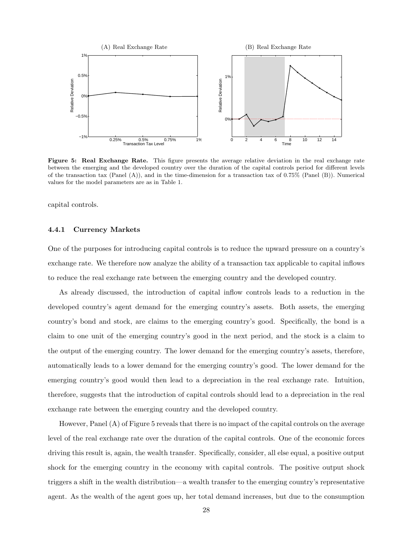

Figure 5: Real Exchange Rate. This figure presents the average relative deviation in the real exchange rate between the emerging and the developed country over the duration of the capital controls period for different levels of the transaction tax (Panel  $(A)$ ), and in the time-dimension for a transaction tax of 0.75% (Panel  $(B)$ ). Numerical values for the model parameters are as in Table 1.

capital controls.

#### 4.4.1 Currency Markets

One of the purposes for introducing capital controls is to reduce the upward pressure on a country's exchange rate. We therefore now analyze the ability of a transaction tax applicable to capital inflows to reduce the real exchange rate between the emerging country and the developed country.

As already discussed, the introduction of capital inflow controls leads to a reduction in the developed country's agent demand for the emerging country's assets. Both assets, the emerging country's bond and stock, are claims to the emerging country's good. Specifically, the bond is a claim to one unit of the emerging country's good in the next period, and the stock is a claim to the output of the emerging country. The lower demand for the emerging country's assets, therefore, automatically leads to a lower demand for the emerging country's good. The lower demand for the emerging country's good would then lead to a depreciation in the real exchange rate. Intuition, therefore, suggests that the introduction of capital controls should lead to a depreciation in the real exchange rate between the emerging country and the developed country.

However, Panel (A) of Figure 5 reveals that there is no impact of the capital controls on the average level of the real exchange rate over the duration of the capital controls. One of the economic forces driving this result is, again, the wealth transfer. Specifically, consider, all else equal, a positive output shock for the emerging country in the economy with capital controls. The positive output shock triggers a shift in the wealth distribution—a wealth transfer to the emerging country's representative agent. As the wealth of the agent goes up, her total demand increases, but due to the consumption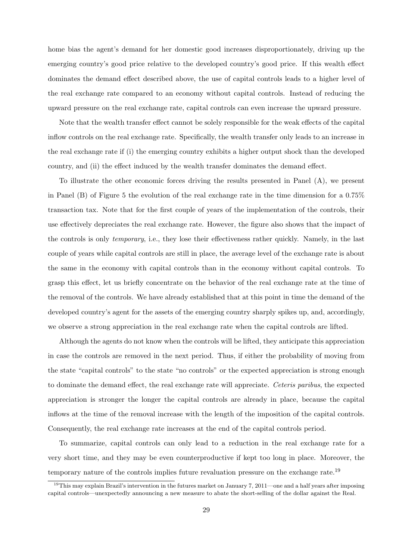home bias the agent's demand for her domestic good increases disproportionately, driving up the emerging country's good price relative to the developed country's good price. If this wealth effect dominates the demand effect described above, the use of capital controls leads to a higher level of the real exchange rate compared to an economy without capital controls. Instead of reducing the upward pressure on the real exchange rate, capital controls can even increase the upward pressure.

Note that the wealth transfer effect cannot be solely responsible for the weak effects of the capital inflow controls on the real exchange rate. Specifically, the wealth transfer only leads to an increase in the real exchange rate if (i) the emerging country exhibits a higher output shock than the developed country, and (ii) the effect induced by the wealth transfer dominates the demand effect.

To illustrate the other economic forces driving the results presented in Panel (A), we present in Panel (B) of Figure 5 the evolution of the real exchange rate in the time dimension for a 0.75% transaction tax. Note that for the first couple of years of the implementation of the controls, their use effectively depreciates the real exchange rate. However, the figure also shows that the impact of the controls is only temporary, i.e., they lose their effectiveness rather quickly. Namely, in the last couple of years while capital controls are still in place, the average level of the exchange rate is about the same in the economy with capital controls than in the economy without capital controls. To grasp this effect, let us briefly concentrate on the behavior of the real exchange rate at the time of the removal of the controls. We have already established that at this point in time the demand of the developed country's agent for the assets of the emerging country sharply spikes up, and, accordingly, we observe a strong appreciation in the real exchange rate when the capital controls are lifted.

Although the agents do not know when the controls will be lifted, they anticipate this appreciation in case the controls are removed in the next period. Thus, if either the probability of moving from the state "capital controls" to the state "no controls" or the expected appreciation is strong enough to dominate the demand effect, the real exchange rate will appreciate. Ceteris paribus, the expected appreciation is stronger the longer the capital controls are already in place, because the capital inflows at the time of the removal increase with the length of the imposition of the capital controls. Consequently, the real exchange rate increases at the end of the capital controls period.

To summarize, capital controls can only lead to a reduction in the real exchange rate for a very short time, and they may be even counterproductive if kept too long in place. Moreover, the temporary nature of the controls implies future revaluation pressure on the exchange rate.<sup>19</sup>

<sup>&</sup>lt;sup>19</sup>This may explain Brazil's intervention in the futures market on January 7, 2011—one and a half years after imposing capital controls—unexpectedly announcing a new measure to abate the short-selling of the dollar against the Real.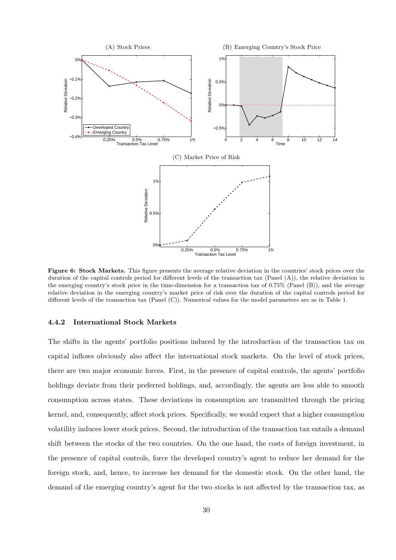

Figure 6: Stock Markets. This figure presents the average relative deviation in the countries' stock prices over the duration of the capital controls period for different levels of the transaction tax (Panel (A)), the relative deviation in the emerging country's stock price in the time-dimension for a transaction tax of 0.75% (Panel (B)), and the average relative deviation in the emerging country's market price of risk over the duration of the capital controls period for different levels of the transaction tax (Panel (C)). Numerical values for the model parameters are as in Table 1.

#### 4.4.2 International Stock Markets

The shifts in the agents' portfolio positions induced by the introduction of the transaction tax on capital inflows obviously also affect the international stock markets. On the level of stock prices, there are two major economic forces. First, in the presence of capital controls, the agents' portfolio holdings deviate from their preferred holdings, and, accordingly, the agents are less able to smooth consumption across states. These deviations in consumption are transmitted through the pricing kernel, and, consequently, affect stock prices. Specifically, we would expect that a higher consumption volatility induces lower stock prices. Second, the introduction of the transaction tax entails a demand shift between the stocks of the two countries. On the one hand, the costs of foreign investment, in the presence of capital controls, force the developed country's agent to reduce her demand for the foreign stock, and, hence, to increase her demand for the domestic stock. On the other hand, the demand of the emerging country's agent for the two stocks is not affected by the transaction tax, as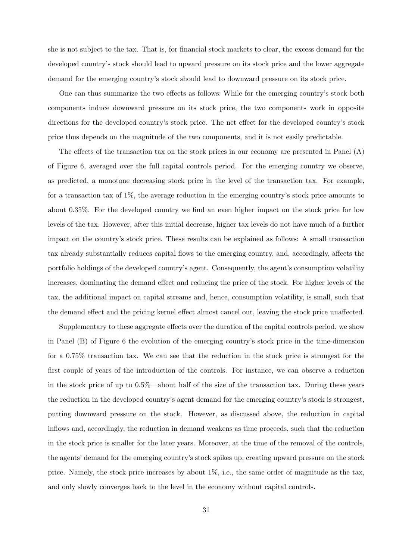she is not subject to the tax. That is, for financial stock markets to clear, the excess demand for the developed country's stock should lead to upward pressure on its stock price and the lower aggregate demand for the emerging country's stock should lead to downward pressure on its stock price.

One can thus summarize the two effects as follows: While for the emerging country's stock both components induce downward pressure on its stock price, the two components work in opposite directions for the developed country's stock price. The net effect for the developed country's stock price thus depends on the magnitude of the two components, and it is not easily predictable.

The effects of the transaction tax on the stock prices in our economy are presented in Panel (A) of Figure 6, averaged over the full capital controls period. For the emerging country we observe, as predicted, a monotone decreasing stock price in the level of the transaction tax. For example, for a transaction tax of  $1\%$ , the average reduction in the emerging country's stock price amounts to about 0.35%. For the developed country we find an even higher impact on the stock price for low levels of the tax. However, after this initial decrease, higher tax levels do not have much of a further impact on the country's stock price. These results can be explained as follows: A small transaction tax already substantially reduces capital flows to the emerging country, and, accordingly, affects the portfolio holdings of the developed country's agent. Consequently, the agent's consumption volatility increases, dominating the demand effect and reducing the price of the stock. For higher levels of the tax, the additional impact on capital streams and, hence, consumption volatility, is small, such that the demand effect and the pricing kernel effect almost cancel out, leaving the stock price unaffected.

Supplementary to these aggregate effects over the duration of the capital controls period, we show in Panel (B) of Figure 6 the evolution of the emerging country's stock price in the time-dimension for a 0.75% transaction tax. We can see that the reduction in the stock price is strongest for the first couple of years of the introduction of the controls. For instance, we can observe a reduction in the stock price of up to 0.5%—about half of the size of the transaction tax. During these years the reduction in the developed country's agent demand for the emerging country's stock is strongest, putting downward pressure on the stock. However, as discussed above, the reduction in capital inflows and, accordingly, the reduction in demand weakens as time proceeds, such that the reduction in the stock price is smaller for the later years. Moreover, at the time of the removal of the controls, the agents' demand for the emerging country's stock spikes up, creating upward pressure on the stock price. Namely, the stock price increases by about 1%, i.e., the same order of magnitude as the tax, and only slowly converges back to the level in the economy without capital controls.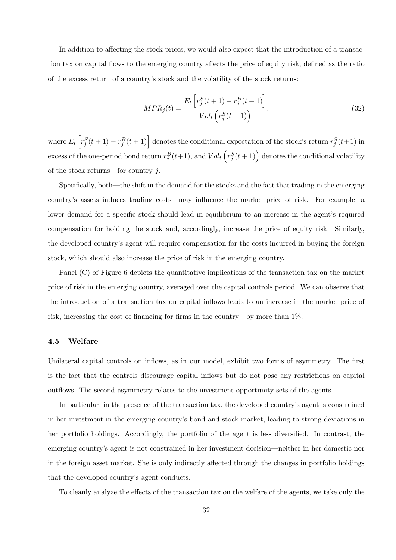In addition to affecting the stock prices, we would also expect that the introduction of a transaction tax on capital flows to the emerging country affects the price of equity risk, defined as the ratio of the excess return of a country's stock and the volatility of the stock returns:

$$
MPR_j(t) = \frac{E_t \left[ r_j^S(t+1) - r_j^B(t+1) \right]}{Vol_t \left( r_j^S(t+1) \right)},
$$
\n(32)

where  $E_t\left[r_j^S(t+1)-r_j^B(t+1)\right]$  denotes the conditional expectation of the stock's return  $r_j^S(t+1)$  in excess of the one-period bond return  $r_j^B(t+1)$ , and  $Vol_t\left(r_j^S(t+1)\right)$  denotes the conditional volatility of the stock returns—for country  $j$ .

Specifically, both—the shift in the demand for the stocks and the fact that trading in the emerging country's assets induces trading costs—may influence the market price of risk. For example, a lower demand for a specific stock should lead in equilibrium to an increase in the agent's required compensation for holding the stock and, accordingly, increase the price of equity risk. Similarly, the developed country's agent will require compensation for the costs incurred in buying the foreign stock, which should also increase the price of risk in the emerging country.

Panel (C) of Figure 6 depicts the quantitative implications of the transaction tax on the market price of risk in the emerging country, averaged over the capital controls period. We can observe that the introduction of a transaction tax on capital inflows leads to an increase in the market price of risk, increasing the cost of financing for firms in the country—by more than 1%.

#### 4.5 Welfare

Unilateral capital controls on inflows, as in our model, exhibit two forms of asymmetry. The first is the fact that the controls discourage capital inflows but do not pose any restrictions on capital outflows. The second asymmetry relates to the investment opportunity sets of the agents.

In particular, in the presence of the transaction tax, the developed country's agent is constrained in her investment in the emerging country's bond and stock market, leading to strong deviations in her portfolio holdings. Accordingly, the portfolio of the agent is less diversified. In contrast, the emerging country's agent is not constrained in her investment decision—neither in her domestic nor in the foreign asset market. She is only indirectly affected through the changes in portfolio holdings that the developed country's agent conducts.

To cleanly analyze the effects of the transaction tax on the welfare of the agents, we take only the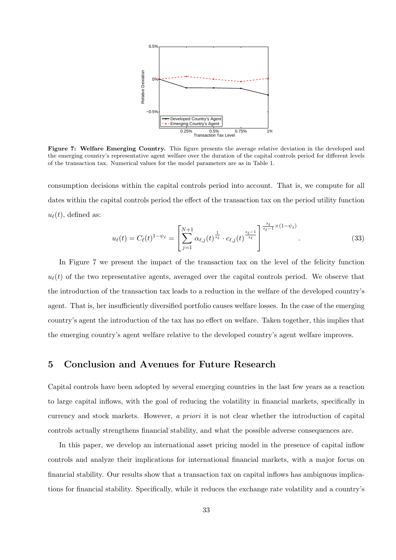

Figure 7: Welfare Emerging Country. This figure presents the average relative deviation in the developed and the emerging country's representative agent welfare over the duration of the capital controls period for different levels of the transaction tax. Numerical values for the model parameters are as in Table 1.

consumption decisions within the capital controls period into account. That is, we compute for all dates within the capital controls period the effect of the transaction tax on the period utility function  $u_{\ell}(t)$ , defined as:

$$
u_{\ell}(t) = C_{\ell}(t)^{1-\psi_{\ell}} = \left[\sum_{j=1}^{N+1} \alpha_{\ell,j}(t)^{\frac{1}{s_{\ell}}} \cdot c_{\ell,j}(t)^{\frac{s_{\ell}-1}{s_{\ell}}}\right]^{\frac{s_{\ell}}{s_{\ell}-1} \times (1-\psi_{\ell})}.
$$
 (33)

In Figure 7 we present the impact of the transaction tax on the level of the felicity function  $u_{\ell}(t)$  of the two representative agents, averaged over the capital controls period. We observe that the introduction of the transaction tax leads to a reduction in the welfare of the developed country's agent. That is, her insufficiently diversified portfolio causes welfare losses. In the case of the emerging country's agent the introduction of the tax has no effect on welfare. Taken together, this implies that the emerging country's agent welfare relative to the developed country's agent welfare improves.

## 5 Conclusion and Avenues for Future Research

Capital controls have been adopted by several emerging countries in the last few years as a reaction to large capital inflows, with the goal of reducing the volatility in financial markets, specifically in currency and stock markets. However, a priori it is not clear whether the introduction of capital controls actually strengthens financial stability, and what the possible adverse consequences are.

In this paper, we develop an international asset pricing model in the presence of capital inflow controls and analyze their implications for international financial markets, with a major focus on financial stability. Our results show that a transaction tax on capital inflows has ambiguous implications for financial stability. Specifically, while it reduces the exchange rate volatility and a country's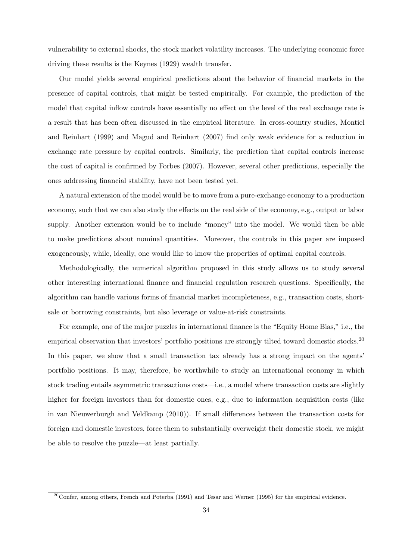vulnerability to external shocks, the stock market volatility increases. The underlying economic force driving these results is the Keynes (1929) wealth transfer.

Our model yields several empirical predictions about the behavior of financial markets in the presence of capital controls, that might be tested empirically. For example, the prediction of the model that capital inflow controls have essentially no effect on the level of the real exchange rate is a result that has been often discussed in the empirical literature. In cross-country studies, Montiel and Reinhart (1999) and Magud and Reinhart (2007) find only weak evidence for a reduction in exchange rate pressure by capital controls. Similarly, the prediction that capital controls increase the cost of capital is confirmed by Forbes (2007). However, several other predictions, especially the ones addressing financial stability, have not been tested yet.

A natural extension of the model would be to move from a pure-exchange economy to a production economy, such that we can also study the effects on the real side of the economy, e.g., output or labor supply. Another extension would be to include "money" into the model. We would then be able to make predictions about nominal quantities. Moreover, the controls in this paper are imposed exogeneously, while, ideally, one would like to know the properties of optimal capital controls.

Methodologically, the numerical algorithm proposed in this study allows us to study several other interesting international finance and financial regulation research questions. Specifically, the algorithm can handle various forms of financial market incompleteness, e.g., transaction costs, shortsale or borrowing constraints, but also leverage or value-at-risk constraints.

For example, one of the major puzzles in international finance is the "Equity Home Bias," i.e., the empirical observation that investors' portfolio positions are strongly tilted toward domestic stocks.<sup>20</sup> In this paper, we show that a small transaction tax already has a strong impact on the agents' portfolio positions. It may, therefore, be worthwhile to study an international economy in which stock trading entails asymmetric transactions costs—i.e., a model where transaction costs are slightly higher for foreign investors than for domestic ones, e.g., due to information acquisition costs (like in van Nieuwerburgh and Veldkamp (2010)). If small differences between the transaction costs for foreign and domestic investors, force them to substantially overweight their domestic stock, we might be able to resolve the puzzle—at least partially.

 $20$ Confer, among others, French and Poterba (1991) and Tesar and Werner (1995) for the empirical evidence.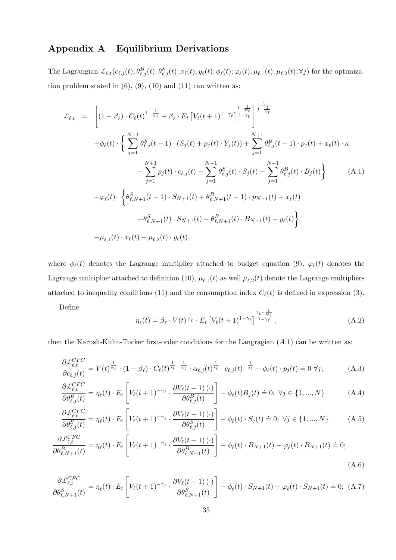## Appendix A Equilibrium Derivations

The Lagrangian  $\mathcal{L}_{\ell,t}(c_{\ell,j}(t); \theta_{\ell,j}^B(t); \theta_{\ell,j}^S(t); x_{\ell}(t); y_{\ell}(t); \phi_{\ell}(t); \varphi_{\ell}(t); \mu_{\ell,1}(t); \mu_{\ell,2}(t); \forall j)$  for the optimization problem stated in  $(6)$ ,  $(9)$ ,  $(10)$  and  $(11)$  can written as:

$$
\mathcal{L}_{\ell,t} = \left[ (1 - \beta_{\ell}) \cdot C_{\ell}(t)^{1 - \frac{1}{\psi_{\ell}}} + \beta_{\ell} \cdot E_{t} \left[ V_{\ell}(t+1)^{1 - \gamma_{\ell}} \right]^{\frac{1}{1 - \frac{1}{\psi_{\ell}}}} \right]^{\frac{1}{1 - \frac{1}{\psi_{\ell}}}} \n+ \phi_{\ell}(t) \cdot \left\{ \sum_{j=1}^{N+1} \theta_{\ell,j}^{S}(t-1) \cdot (S_{j}(t) + p_{j}(t) \cdot Y_{j}(t)) + \sum_{j=1}^{N+1} \theta_{\ell,j}^{B}(t-1) \cdot p_{j}(t) + x_{\ell}(t) \cdot \kappa \right. \n- \sum_{j=1}^{N+1} p_{j}(t) \cdot c_{\ell,j}(t) - \sum_{j=1}^{N+1} \theta_{\ell,j}^{S}(t) \cdot S_{j}(t) - \sum_{j=1}^{N+1} \theta_{\ell,j}^{B}(t) \cdot B_{j}(t) \right\} \tag{A.1}
$$
\n
$$
+ \varphi_{\ell}(t) \cdot \left\{ \theta_{\ell,N+1}^{S}(t-1) \cdot S_{N+1}(t) + \theta_{\ell,N+1}^{B}(t-1) \cdot p_{N+1}(t) + x_{\ell}(t) \right. \n- \theta_{\ell,N+1}^{S}(t) \cdot S_{N+1}(t) - \theta_{\ell,N+1}^{B}(t) \cdot B_{N+1}(t) - y_{\ell}(t) \right\}
$$
\n
$$
+ \mu_{\ell,1}(t) \cdot x_{\ell}(t) + \mu_{\ell,2}(t) \cdot y_{\ell}(t),
$$

where  $\phi_{\ell}(t)$  denotes the Lagrange multiplier attached to budget equation (9),  $\varphi_{\ell}(t)$  denotes the Lagrange multiplier attached to definition (10),  $\mu_{\ell,1}(t)$  as well  $\mu_{\ell,2}(t)$  denote the Lagrange multipliers attached to inequality conditions (11) and the consumption index  $C_{\ell}(t)$  is defined in expression (3).

Define

$$
\eta_{\ell}(t) = \beta_{\ell} \cdot V(t)^{\frac{1}{\psi_{\ell}}} \cdot E_t \left[ V_{\ell}(t+1)^{1-\gamma_{\ell}} \right]^{\frac{\gamma_{\ell} - \frac{1}{\psi_{\ell}}}{1-\gamma_{\ell}}},\tag{A.2}
$$

then the Karush-Kuhn-Tucker first-order conditions for the Langragian  $(A.1)$  can be written as:

$$
\frac{\partial \mathcal{L}_{\ell,t}^{CFC}}{\partial c_{\ell,j}(t)} = V(t)^{\frac{1}{\psi_{\ell}}} \cdot (1 - \beta_{\ell}) \cdot C_{\ell}(t)^{\frac{1}{s_{\ell}} - \frac{1}{\psi_{\ell}}} \cdot \alpha_{\ell,j}(t)^{\frac{1}{s_{\ell}}} \cdot c_{\ell,j}(t)^{-\frac{1}{s_{\ell}}} - \phi_{\ell}(t) \cdot p_{j}(t) \doteq 0 \,\forall j; \tag{A.3}
$$

$$
\frac{\partial \mathcal{L}_{\ell,t}^{CFC}}{\partial \theta_{\ell,j}^B(t)} = \eta_{\ell}(t) \cdot E_t \left[ V_{\ell}(t+1)^{-\gamma_{\ell}} \cdot \frac{\partial V_{\ell}(t+1)(\cdot)}{\partial \theta_{\ell,j}^B(t)} \right] - \phi_{\ell}(t) B_j(t) = 0; \ \forall j \in \{1, ..., N\}
$$
(A.4)

$$
\frac{\partial \mathcal{L}_{\ell,t}^{CFC}}{\partial \theta_{\ell,j}^{S}(t)} = \eta_{\ell}(t) \cdot E_t \left[ V_{\ell}(t+1)^{-\gamma_{\ell}} \cdot \frac{\partial V_{\ell}(t+1)(\cdot)}{\partial \theta_{\ell,j}^{S}(t)} \right] - \phi_{\ell}(t) \cdot S_j(t) \doteq 0; \ \forall j \in \{1, ..., N\}
$$
(A.5)

$$
\frac{\partial \mathcal{L}_{\ell,t}^{CFC}}{\partial \theta_{\ell,N+1}^B(t)} = \eta_{\ell}(t) \cdot E_t \left[ V_{\ell}(t+1)^{-\gamma_{\ell}} \cdot \frac{\partial V_{\ell}(t+1)(\cdot)}{\partial \theta_{\ell,N+1}^B(t)} \right] - \phi_{\ell}(t) \cdot B_{N+1}(t) - \varphi_{\ell}(t) \cdot B_{N+1}(t) \doteq 0; \tag{A.6}
$$

$$
\frac{\partial \mathcal{L}_{\ell,t}^{CFC}}{\partial \theta_{\ell,N+1}^{S}(t)} = \eta_{\ell}(t) \cdot E_t \left[ V_{\ell}(t+1)^{-\gamma_{\ell}} \cdot \frac{\partial V_{\ell}(t+1)(\cdot)}{\partial \theta_{\ell,N+1}^{S}(t)} \right] - \phi_{\ell}(t) \cdot S_{N+1}(t) - \varphi_{\ell}(t) \cdot S_{N+1}(t) = 0; \tag{A.7}
$$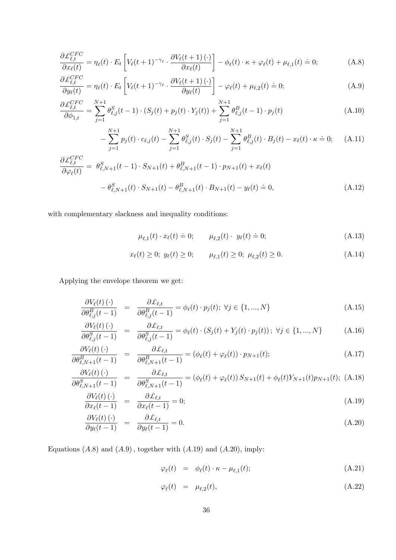$$
\frac{\partial \mathcal{L}_{\ell,t}^{CFC}}{\partial x_{\ell}(t)} = \eta_{\ell}(t) \cdot E_t \left[ V_{\ell}(t+1)^{-\gamma_{\ell}} \cdot \frac{\partial V_{\ell}(t+1)(\cdot)}{\partial x_{\ell}(t)} \right] - \phi_{\ell}(t) \cdot \kappa + \varphi_{\ell}(t) + \mu_{\ell,1}(t) \doteq 0; \tag{A.8}
$$

$$
\frac{\partial \mathcal{L}_{\ell,t}^{CFC}}{\partial y_{\ell}(t)} = \eta_{\ell}(t) \cdot E_t \left[ V_{\ell}(t+1)^{-\gamma_{\ell}} \cdot \frac{\partial V_{\ell}(t+1)(\cdot)}{\partial y_{\ell}(t)} \right] - \varphi_{\ell}(t) + \mu_{\ell,2}(t) \doteq 0; \tag{A.9}
$$

$$
\frac{\partial \mathcal{L}_{\ell,t}^{CFC}}{\partial \phi_{1,t}} = \sum_{j=1}^{N+1} \theta_{\ell,j}^{S}(t-1) \cdot (S_j(t) + p_j(t) \cdot Y_j(t)) + \sum_{j=1}^{N+1} \theta_{\ell,j}^{B}(t-1) \cdot p_j(t)
$$
\n(A.10)

$$
-\sum_{j=1}^{N+1} p_j(t) \cdot c_{\ell,j}(t) - \sum_{j=1}^{N+1} \theta_{\ell,j}^S(t) \cdot S_j(t) - \sum_{j=1}^{N+1} \theta_{\ell,j}^B(t) \cdot B_j(t) - x_{\ell}(t) \cdot \kappa \doteq 0; \quad (A.11)
$$

$$
\frac{\partial \mathcal{L}_{\ell,t}^{CFC}}{\partial \varphi_{\ell}(t)} = \theta_{\ell,N+1}^{S}(t-1) \cdot S_{N+1}(t) + \theta_{\ell,N+1}^{B}(t-1) \cdot p_{N+1}(t) + x_{\ell}(t) \n- \theta_{\ell,N+1}^{S}(t) \cdot S_{N+1}(t) - \theta_{\ell,N+1}^{B}(t) \cdot B_{N+1}(t) - y_{\ell}(t) \doteq 0,
$$
\n(A.12)

with complementary slackness and inequality conditions:

$$
\mu_{\ell,1}(t) \cdot x_{\ell}(t) \doteq 0; \qquad \mu_{\ell,2}(t) \cdot y_{\ell}(t) \doteq 0; \tag{A.13}
$$

$$
x_{\ell}(t) \ge 0; \ y_{\ell}(t) \ge 0; \qquad \mu_{\ell,1}(t) \ge 0; \ \mu_{\ell,2}(t) \ge 0. \tag{A.14}
$$

Applying the envelope theorem we get:

$$
\frac{\partial V_{\ell}(t) (\cdot)}{\partial \theta_{\ell,j}^{B}(t-1)} = \frac{\partial \mathcal{L}_{\ell,t}}{\partial \theta_{\ell,j}^{B}(t-1)} = \phi_{\ell}(t) \cdot p_{j}(t); \ \forall j \in \{1, ..., N\}
$$
\n(A.15)

$$
\frac{\partial V_{\ell}(t) \left( \cdot \right)}{\partial \theta_{\ell,j}^{S}(t-1)} = \frac{\partial \mathcal{L}_{\ell,t}}{\partial \theta_{\ell,j}^{S}(t-1)} = \phi_{\ell}(t) \cdot (S_j(t) + Y_j(t) \cdot p_j(t)); \ \forall j \in \{1, ..., N\} \tag{A.16}
$$

$$
\frac{\partial V_{\ell}(t) (\cdot)}{\partial \theta_{\ell,N+1}^B(t-1)} = \frac{\partial \mathcal{L}_{\ell,t}}{\partial \theta_{\ell,N+1}^B(t-1)} = (\phi_{\ell}(t) + \varphi_{\ell}(t)) \cdot p_{N+1}(t); \tag{A.17}
$$

$$
\frac{\partial V_{\ell}(t) (\cdot)}{\partial \theta_{\ell,N+1}^{S}(t-1)} = \frac{\partial \mathcal{L}_{\ell,t}}{\partial \theta_{\ell,N+1}^{S}(t-1)} = (\phi_{\ell}(t) + \varphi_{\ell}(t)) S_{N+1}(t) + \phi_{\ell}(t) Y_{N+1}(t) p_{N+1}(t); \text{ (A.18)}
$$

$$
\frac{\partial V_{\ell}(t) (\cdot)}{\partial x_{\ell}(t-1)} = \frac{\partial \mathcal{L}_{\ell,t}}{\partial x_{\ell}(t-1)} = 0; \tag{A.19}
$$

$$
\frac{\partial V_{\ell}(t)(\cdot)}{\partial y_{\ell}(t-1)} = \frac{\partial \mathcal{L}_{\ell,t}}{\partial y_{\ell}(t-1)} = 0.
$$
\n(A.20)

Equations  $(A.8)$  and  $(A.9)$ , together with  $(A.19)$  and  $(A.20)$ , imply:

$$
\varphi_{\ell}(t) = \phi_{\ell}(t) \cdot \kappa - \mu_{\ell,1}(t); \tag{A.21}
$$

$$
\varphi_{\ell}(t) = \mu_{\ell,2}(t), \tag{A.22}
$$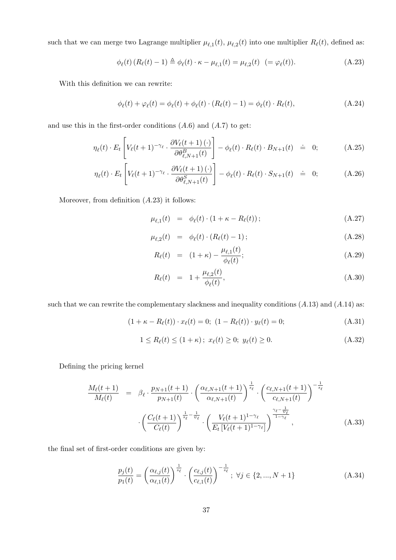such that we can merge two Lagrange multiplier  $\mu_{\ell,1}(t)$ ,  $\mu_{\ell,2}(t)$  into one multiplier  $R_{\ell}(t)$ , defined as:

$$
\phi_{\ell}(t) (R_{\ell}(t) - 1) \triangleq \phi_{\ell}(t) \cdot \kappa - \mu_{\ell,1}(t) = \mu_{\ell,2}(t) \quad (= \varphi_{\ell}(t)). \tag{A.23}
$$

With this definition we can rewrite:

$$
\phi_{\ell}(t) + \varphi_{\ell}(t) = \phi_{\ell}(t) + \phi_{\ell}(t) \cdot (R_{\ell}(t) - 1) = \phi_{\ell}(t) \cdot R_{\ell}(t), \tag{A.24}
$$

and use this in the first-order conditions  $(A.6)$  and  $(A.7)$  to get:

$$
\eta_{\ell}(t) \cdot E_t \left[ V_{\ell}(t+1)^{-\gamma_{\ell}} \cdot \frac{\partial V_{\ell}(t+1)(\cdot)}{\partial \theta_{\ell,N+1}^B(t)} \right] - \phi_{\ell}(t) \cdot R_{\ell}(t) \cdot B_{N+1}(t) \quad \dot{=} \quad 0; \tag{A.25}
$$

$$
\eta_{\ell}(t) \cdot E_t \left[ V_{\ell}(t+1)^{-\gamma_{\ell}} \cdot \frac{\partial V_{\ell}(t+1)(\cdot)}{\partial \theta_{\ell,N+1}^S(t)} \right] - \phi_{\ell}(t) \cdot R_{\ell}(t) \cdot S_{N+1}(t) \quad \dot{=} \quad 0; \tag{A.26}
$$

Moreover, from definition  $(A.23)$  it follows:

$$
\mu_{\ell,1}(t) = \phi_{\ell}(t) \cdot (1 + \kappa - R_{\ell}(t)); \tag{A.27}
$$

$$
\mu_{\ell,2}(t) = \phi_{\ell}(t) \cdot (R_{\ell}(t) - 1); \tag{A.28}
$$

$$
R_{\ell}(t) = (1 + \kappa) - \frac{\mu_{\ell,1}(t)}{\phi_{\ell}(t)};
$$
\n(A.29)

$$
R_{\ell}(t) = 1 + \frac{\mu_{\ell,2}(t)}{\phi_{\ell}(t)},
$$
\n(A.30)

such that we can rewrite the complementary slackness and inequality conditions  $(A.13)$  and  $(A.14)$  as:

$$
(1 + \kappa - R_{\ell}(t)) \cdot x_{\ell}(t) = 0; \ (1 - R_{\ell}(t)) \cdot y_{\ell}(t) = 0; \tag{A.31}
$$

$$
1 \le R_{\ell}(t) \le (1 + \kappa); \ x_{\ell}(t) \ge 0; \ y_{\ell}(t) \ge 0. \tag{A.32}
$$

Defining the pricing kernel

$$
\frac{M_{\ell}(t+1)}{M_{\ell}(t)} = \beta_{\ell} \cdot \frac{p_{N+1}(t+1)}{p_{N+1}(t)} \cdot \left(\frac{\alpha_{\ell,N+1}(t+1)}{\alpha_{\ell,N+1}(t)}\right)^{\frac{1}{s_{\ell}}} \cdot \left(\frac{c_{\ell,N+1}(t+1)}{c_{\ell,N+1}(t)}\right)^{-\frac{1}{s_{\ell}}}
$$

$$
\cdot \left(\frac{C_{\ell}(t+1)}{C_{\ell}(t)}\right)^{\frac{1}{s_{\ell}} - \frac{1}{\psi_{\ell}}} \cdot \left(\frac{V_{\ell}(t+1)^{1-\gamma_{\ell}}}{E_{t}\left[V_{\ell}(t+1)^{1-\gamma_{\ell}}\right]}\right)^{\frac{\gamma_{\ell} - \frac{1}{\psi_{\ell}}}{1-\gamma_{\ell}}},\tag{A.33}
$$

the final set of first-order conditions are given by:

$$
\frac{p_j(t)}{p_1(t)} = \left(\frac{\alpha_{\ell,j}(t)}{\alpha_{\ell,1}(t)}\right)^{\frac{1}{s_{\ell}}} \cdot \left(\frac{c_{\ell,j}(t)}{c_{\ell,1}(t)}\right)^{-\frac{1}{s_{\ell}}}; \ \forall j \in \{2, ..., N+1\}
$$
\n(A.34)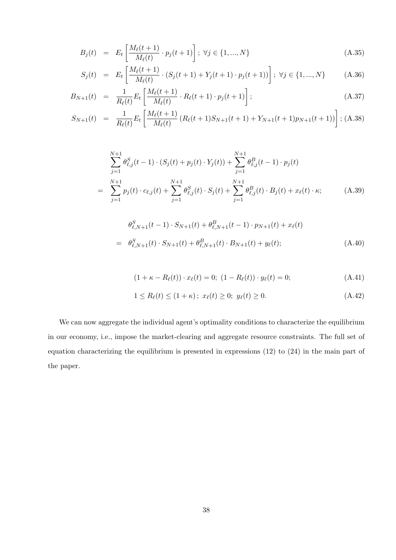$$
B_j(t) = E_t \left[ \frac{M_\ell(t+1)}{M_\ell(t)} \cdot p_j(t+1) \right]; \ \forall j \in \{1, ..., N\}
$$
 (A.35)

$$
S_j(t) = E_t \left[ \frac{M_\ell(t+1)}{M_\ell(t)} \cdot (S_j(t+1) + Y_j(t+1) \cdot p_j(t+1)) \right]; \ \forall j \in \{1, ..., N\} \tag{A.36}
$$

$$
B_{N+1}(t) = \frac{1}{R_{\ell}(t)} E_t \left[ \frac{M_{\ell}(t+1)}{M_{\ell}(t)} \cdot R_{\ell}(t+1) \cdot p_j(t+1) \right]; \tag{A.37}
$$

$$
S_{N+1}(t) = \frac{1}{R_{\ell}(t)} E_t \left[ \frac{M_{\ell}(t+1)}{M_{\ell}(t)} \left( R_{\ell}(t+1) S_{N+1}(t+1) + Y_{N+1}(t+1) p_{N+1}(t+1) \right) \right]; \text{(A.38)}
$$

$$
\sum_{j=1}^{N+1} \theta_{\ell,j}^{S}(t-1) \cdot (S_j(t) + p_j(t) \cdot Y_j(t)) + \sum_{j=1}^{N+1} \theta_{\ell,j}^{B}(t-1) \cdot p_j(t)
$$
\n
$$
= \sum_{j=1}^{N+1} p_j(t) \cdot c_{\ell,j}(t) + \sum_{j=1}^{N+1} \theta_{\ell,j}^{S}(t) \cdot S_j(t) + \sum_{j=1}^{N+1} \theta_{\ell,j}^{B}(t) \cdot B_j(t) + x_{\ell}(t) \cdot \kappa; \tag{A.39}
$$

$$
\theta_{\ell,N+1}^{S}(t-1) \cdot S_{N+1}(t) + \theta_{\ell,N+1}^{B}(t-1) \cdot p_{N+1}(t) + x_{\ell}(t)
$$
\n
$$
= \theta_{\ell,N+1}^{S}(t) \cdot S_{N+1}(t) + \theta_{\ell,N+1}^{B}(t) \cdot B_{N+1}(t) + y_{\ell}(t); \tag{A.40}
$$

$$
(1 + \kappa - R_{\ell}(t)) \cdot x_{\ell}(t) = 0; \ (1 - R_{\ell}(t)) \cdot y_{\ell}(t) = 0; \tag{A.41}
$$

$$
1 \le R_{\ell}(t) \le (1 + \kappa); \ x_{\ell}(t) \ge 0; \ y_{\ell}(t) \ge 0.
$$
 (A.42)

We can now aggregate the individual agent's optimality conditions to characterize the equilibrium in our economy, i.e., impose the market-clearing and aggregate resource constraints. The full set of equation characterizing the equilibrium is presented in expressions (12) to (24) in the main part of the paper.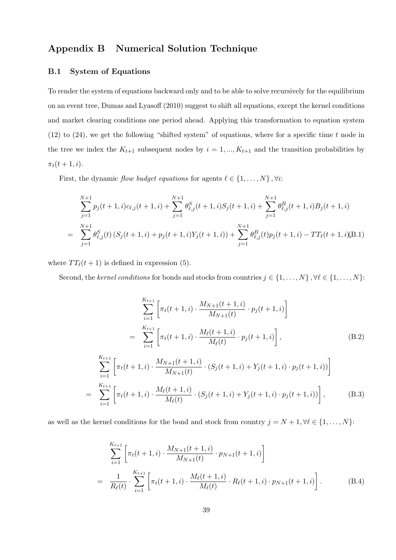## Appendix B Numerical Solution Technique

## B.1 System of Equations

To render the system of equations backward only and to be able to solve recursively for the equilibrium on an event tree, Dumas and Lyasoff (2010) suggest to shift all equations, except the kernel conditions and market clearing conditions one period ahead. Applying this transformation to equation system  $(12)$  to  $(24)$ , we get the following "shifted system" of equations, where for a specific time t node in the tree we index the  $K_{t+1}$  subsequent nodes by  $i = 1, ..., K_{t+1}$  and the transition probabilities by  $\pi_t(t+1, i)$ .

First, the dynamic flow budget equations for agents  $\ell \in \{1, \ldots, N\}$ ,  $\forall i$ :

$$
\sum_{j=1}^{N+1} p_j(t+1,i)c_{\ell,j}(t+1,i) + \sum_{j=1}^{N+1} \theta_{\ell,j}^S(t+1,i)S_j(t+1,i) + \sum_{j=1}^{N+1} \theta_{\ell,j}^B(t+1,i)B_j(t+1,i)
$$
  
= 
$$
\sum_{j=1}^{N+1} \theta_{\ell,j}^S(t) (S_j(t+1,i) + p_j(t+1,i)Y_j(t+1,i)) + \sum_{j=1}^{N+1} \theta_{\ell,j}^B(t)p_j(t+1,i) - TT_{\ell}(t+1,i)(B.1)
$$

where  $TT_{\ell}(t + 1)$  is defined in expression (5).

Second, the kernel conditions for bonds and stocks from countries  $j \in \{1, ..., N\}$ ,  $\forall \ell \in \{1, ..., N\}$ :

$$
\sum_{i=1}^{K_{t+1}} \left[ \pi_t(t+1,i) \cdot \frac{M_{N+1}(t+1,i)}{M_{N+1}(t)} \cdot p_j(t+1,i) \right]
$$
\n
$$
= \sum_{i=1}^{K_{t+1}} \left[ \pi_t(t+1,i) \cdot \frac{M_{\ell}(t+1,i)}{M_{\ell}(t)} \cdot p_j(t+1,i) \right],
$$
\n(B.2)\n
$$
\sum_{i=1}^{K_{t+1}} \left[ \pi_t(t+1,i) \cdot \frac{M_{N+1}(t+1,i)}{M_{N+1}(t)} \cdot (S_j(t+1,i) + Y_j(t+1,i) \cdot p_j(t+1,i)) \right]
$$
\n
$$
= \sum_{i=1}^{K_{t+1}} \left[ \pi_t(t+1,i) \cdot \frac{M_{\ell}(t+1,i)}{M_{\ell}(t)} \cdot (S_j(t+1,i) + Y_j(t+1,i) \cdot p_j(t+1,i)) \right],
$$
\n(B.3)

as well as the kernel conditions for the bond and stock from country  $j = N + 1, \forall \ell \in \{1, ..., N\}$ :

$$
\sum_{i=1}^{K_{t+1}} \left[ \pi_t(t+1,i) \cdot \frac{M_{N+1}(t+1,i)}{M_{N+1}(t)} \cdot p_{N+1}(t+1,i) \right]
$$
\n
$$
= \frac{1}{R_{\ell}(t)} \cdot \sum_{i=1}^{K_{t+1}} \left[ \pi_t(t+1,i) \cdot \frac{M_{\ell}(t+1,i)}{M_{\ell}(t)} \cdot R_{\ell}(t+1,i) \cdot p_{N+1}(t+1,i) \right].
$$
\n(B.4)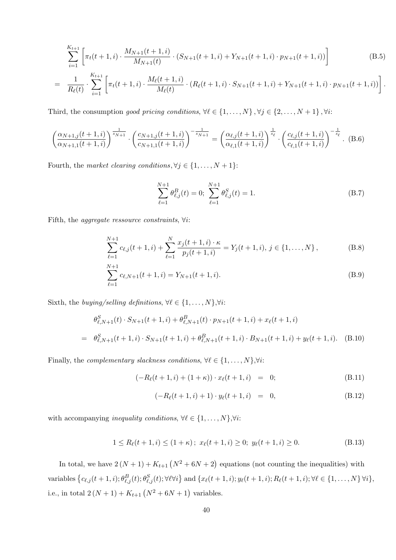$$
\sum_{i=1}^{K_{t+1}} \left[ \pi_t(t+1,i) \cdot \frac{M_{N+1}(t+1,i)}{M_{N+1}(t)} \cdot (S_{N+1}(t+1,i) + Y_{N+1}(t+1,i) \cdot p_{N+1}(t+1,i)) \right]
$$
(B.5)

$$
= \frac{1}{R_{\ell}(t)} \cdot \sum_{i=1}^{K_{t+1}} \left[ \pi_t(t+1,i) \cdot \frac{M_{\ell}(t+1,i)}{M_{\ell}(t)} \cdot (R_{\ell}(t+1,i) \cdot S_{N+1}(t+1,i) + Y_{N+1}(t+1,i) \cdot p_{N+1}(t+1,i)) \right]
$$

Third, the consumption good pricing conditions,  $\forall \ell \in \{1, ..., N\}$ ,  $\forall j \in \{2, ..., N + 1\}$ ,  $\forall i$ :

$$
\left(\frac{\alpha_{N+1,j}(t+1,i)}{\alpha_{N+1,1}(t+1,i)}\right)^{\frac{1}{s_{N+1}}} \cdot \left(\frac{c_{N+1,j}(t+1,i)}{c_{N+1,1}(t+1,i)}\right)^{-\frac{1}{s_{N+1}}} = \left(\frac{\alpha_{\ell,j}(t+1,i)}{\alpha_{\ell,1}(t+1,i)}\right)^{\frac{1}{s_{\ell}}}\cdot \left(\frac{c_{\ell,j}(t+1,i)}{c_{\ell,1}(t+1,i)}\right)^{-\frac{1}{s_{\ell}}}. (B.6)
$$

Fourth, the market clearing conditions,  $\forall j \in \{1, ..., N + 1\}$ :

$$
\sum_{\ell=1}^{N+1} \theta_{\ell,j}^B(t) = 0; \sum_{\ell=1}^{N+1} \theta_{\ell,j}^S(t) = 1.
$$
 (B.7)

.

Fifth, the *aggregate ressource constraints*,  $\forall i$ :

$$
\sum_{\ell=1}^{N+1} c_{\ell,j}(t+1,i) + \sum_{\ell=1}^{N} \frac{x_j(t+1,i) \cdot \kappa}{p_j(t+1,i)} = Y_j(t+1,i), \, j \in \{1, \dots, N\},\tag{B.8}
$$

$$
\sum_{\ell=1}^{N+1} c_{\ell,N+1}(t+1,i) = Y_{N+1}(t+1,i). \tag{B.9}
$$

Sixth, the *buying/selling definitions*,  $\forall \ell \in \{1, \ldots, N\}, \forall i$ :

$$
\theta_{\ell,N+1}^{S}(t) \cdot S_{N+1}(t+1,i) + \theta_{\ell,N+1}^{B}(t) \cdot p_{N+1}(t+1,i) + x_{\ell}(t+1,i)
$$
\n
$$
= \theta_{\ell,N+1}^{S}(t+1,i) \cdot S_{N+1}(t+1,i) + \theta_{\ell,N+1}^{B}(t+1,i) \cdot B_{N+1}(t+1,i) + y_{\ell}(t+1,i). \quad (B.10)
$$

Finally, the *complementary slackness conditions*,  $\forall \ell \in \{1, \ldots, N\}, \forall i$ :

$$
(-R_{\ell}(t+1,i) + (1+\kappa)) \cdot x_{\ell}(t+1,i) = 0;
$$
 (B.11)

$$
(-R_{\ell}(t+1,i)+1)\cdot y_{\ell}(t+1,i) = 0, \qquad (B.12)
$$

with accompanying *inequality conditions*,  $\forall \ell \in \{1, \ldots, N\}, \forall i$ :

$$
1 \le R_{\ell}(t+1, i) \le (1+\kappa); \ x_{\ell}(t+1, i) \ge 0; \ y_{\ell}(t+1, i) \ge 0.
$$
 (B.13)

In total, we have  $2(N+1) + K_{t+1}(N^2 + 6N + 2)$  equations (not counting the inequalities) with variables  $\left\{c_{\ell,j}(t+1,i); \theta_{\ell,j}^B(t); \theta_{\ell,j}^S(t); \forall \ell \forall i\right\}$  and  $\left\{x_\ell(t+1,i); y_\ell(t+1,i); R_\ell(t+1,i); \forall \ell \in \{1,\ldots,N\} \forall i\right\}$ i.e., in total  $2(N + 1) + K_{t+1}(N^2 + 6N + 1)$  variables.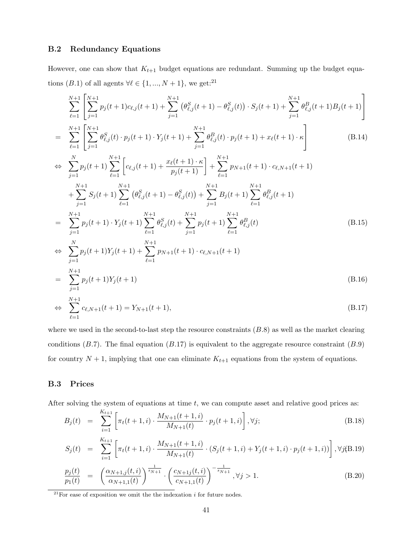## B.2 Redundancy Equations

However, one can show that  $K_{t+1}$  budget equations are redundant. Summing up the budget equations (B.1) of all agents  $\forall \ell \in \{1, ..., N + 1\}$ , we get:<sup>21</sup>

$$
\sum_{\ell=1}^{N+1} \left[ \sum_{j=1}^{N+1} p_j(t+1)c_{\ell,j}(t+1) + \sum_{j=1}^{N+1} \left( \theta_{\ell,j}^S(t+1) - \theta_{\ell,j}^S(t) \right) \cdot S_j(t+1) + \sum_{j=1}^{N+1} \theta_{\ell,j}^B(t+1) S_j(t+1) \right]
$$

$$
= \sum_{\ell=1}^{N+1} \left[ \sum_{j=1}^{N+1} \theta_{\ell,j}^S(t) \cdot p_j(t+1) \cdot Y_j(t+1) + \sum_{j=1}^{N+1} \theta_{\ell,j}^B(t) \cdot p_j(t+1) + x_\ell(t+1) \cdot \kappa \right]
$$
(B.14)

$$
\Leftrightarrow \sum_{j=1}^{N} p_j(t+1) \sum_{\ell=1}^{N+1} \left[ c_{\ell,j}(t+1) + \frac{x_{\ell}(t+1) \cdot \kappa}{p_j(t+1)} \right] + \sum_{\ell=1}^{N+1} p_{N+1}(t+1) \cdot c_{\ell,N+1}(t+1) \n+ \sum_{j=1}^{N+1} S_j(t+1) \sum_{\ell=1}^{N+1} (\theta_{\ell,j}^S(t+1) - \theta_{\ell,j}^S(t)) + \sum_{j=1}^{N+1} B_j(t+1) \sum_{\ell=1}^{N+1} \theta_{\ell,j}^B(t+1) \n= \sum_{j=1}^{N+1} p_j(t+1) \cdot Y_j(t+1) \sum_{\ell=1}^{N+1} \theta_{\ell,j}^S(t) + \sum_{j=1}^{N+1} p_j(t+1) \sum_{\ell=1}^{N+1} \theta_{\ell,j}^B(t) \n\Leftrightarrow \sum_{j=1}^{N} p_j(t+1) Y_j(t+1) + \sum_{\ell=1}^{N+1} p_{N+1}(t+1) \cdot c_{\ell,N+1}(t+1) \n= \sum_{j=1}^{N+1} p_j(t+1) Y_j(t+1)
$$
\n(B.16)

$$
\Leftrightarrow \sum_{\ell=1}^{N+1} c_{\ell,N+1}(t+1) = Y_{N+1}(t+1), \tag{B.17}
$$

where we used in the second-to-last step the resource constraints  $(B.8)$  as well as the market clearing conditions  $(B.7)$ . The final equation  $(B.17)$  is equivalent to the aggregate resource constraint  $(B.9)$ for country  $N + 1$ , implying that one can eliminate  $K_{t+1}$  equations from the system of equations.

## B.3 Prices

After solving the system of equations at time  $t$ , we can compute asset and relative good prices as:

$$
B_j(t) = \sum_{i=1}^{K_{t+1}} \left[ \pi_t(t+1,i) \cdot \frac{M_{N+1}(t+1,i)}{M_{N+1}(t)} \cdot p_j(t+1,i) \right], \forall j;
$$
 (B.18)

$$
S_j(t) = \sum_{i=1}^{K_{t+1}} \left[ \pi_t(t+1,i) \cdot \frac{M_{N+1}(t+1,i)}{M_{N+1}(t)} \cdot (S_j(t+1,i) + Y_j(t+1,i) \cdot p_j(t+1,i)) \right], \forall j \text{(B.19)}
$$

$$
\frac{p_j(t)}{p_1(t)} = \left(\frac{\alpha_{N+1,j}(t,i)}{\alpha_{N+1,1}(t)}\right)^{\frac{1}{s_{N+1}}} \cdot \left(\frac{c_{N+1,j}(t,i)}{c_{N+1,1}(t)}\right)^{-\frac{1}{s_{N+1}}}, \forall j > 1.
$$
\n(B.20)

 $^{21}$ For ease of exposition we omit the the indexation i for future nodes.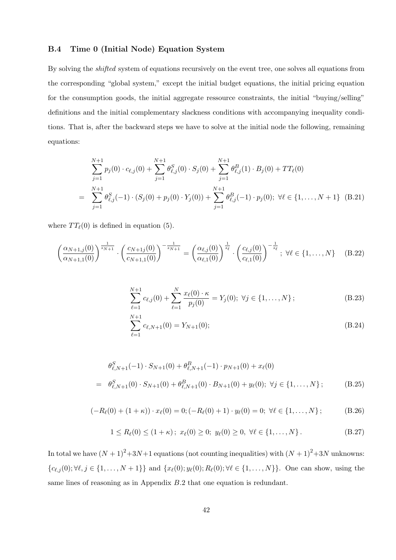## B.4 Time 0 (Initial Node) Equation System

By solving the *shifted* system of equations recursively on the event tree, one solves all equations from the corresponding "global system," except the initial budget equations, the initial pricing equation for the consumption goods, the initial aggregate ressource constraints, the initial "buying/selling" definitions and the initial complementary slackness conditions with accompanying inequality conditions. That is, after the backward steps we have to solve at the initial node the following, remaining equations:

$$
\sum_{j=1}^{N+1} p_j(0) \cdot c_{\ell,j}(0) + \sum_{j=1}^{N+1} \theta_{\ell,j}^S(0) \cdot S_j(0) + \sum_{j=1}^{N+1} \theta_{\ell,j}^B(1) \cdot B_j(0) + TT_{\ell}(0)
$$
  
= 
$$
\sum_{j=1}^{N+1} \theta_{\ell,j}^S(-1) \cdot (S_j(0) + p_j(0) \cdot Y_j(0)) + \sum_{j=1}^{N+1} \theta_{\ell,j}^B(-1) \cdot p_j(0); \ \forall \ell \in \{1, ..., N+1\} \quad (B.21)
$$

where  $TT_{\ell}(0)$  is defined in equation (5).

$$
\left(\frac{\alpha_{N+1,j}(0)}{\alpha_{N+1,1}(0)}\right)^{\frac{1}{s_{N+1}}} \cdot \left(\frac{c_{N+1,j}(0)}{c_{N+1,1}(0)}\right)^{-\frac{1}{s_{N+1}}} = \left(\frac{\alpha_{\ell,j}(0)}{\alpha_{\ell,1}(0)}\right)^{\frac{1}{s_{\ell}}}\cdot \left(\frac{c_{\ell,j}(0)}{c_{\ell,1}(0)}\right)^{-\frac{1}{s_{\ell}}}; \ \forall \ell \in \{1,\ldots,N\} \tag{B.22}
$$

$$
\sum_{\ell=1}^{N+1} c_{\ell,j}(0) + \sum_{\ell=1}^{N} \frac{x_{\ell}(0) \cdot \kappa}{p_j(0)} = Y_j(0); \ \forall j \in \{1, ..., N\};
$$
 (B.23)

$$
\sum_{\ell=1}^{N+1} c_{\ell,N+1}(0) = Y_{N+1}(0);
$$
\n(B.24)

$$
\theta_{\ell,N+1}^{S}(-1) \cdot S_{N+1}(0) + \theta_{\ell,N+1}^{B}(-1) \cdot p_{N+1}(0) + x_{\ell}(0)
$$
\n
$$
= \theta_{\ell,N+1}^{S}(0) \cdot S_{N+1}(0) + \theta_{\ell,N+1}^{B}(0) \cdot B_{N+1}(0) + y_{\ell}(0); \ \forall j \in \{1, ..., N\};
$$
\n(B.25)

$$
(-R_{\ell}(0) + (1 + \kappa)) \cdot x_{\ell}(0) = 0; (-R_{\ell}(0) + 1) \cdot y_{\ell}(0) = 0; \ \forall \ell \in \{1, ..., N\};
$$
 (B.26)

$$
1 \le R_{\ell}(0) \le (1 + \kappa); \ x_{\ell}(0) \ge 0; \ y_{\ell}(0) \ge 0, \ \forall \ell \in \{1, ..., N\}.
$$
 (B.27)

In total we have  $(N + 1)^2 + 3N+1$  equations (not counting inequalities) with  $(N + 1)^2 + 3N$  unknowns:  ${c_{\ell,j}(0)}; \forall \ell, j \in \{1, ..., N + 1\}$  and  ${x_\ell(0); y_\ell(0); R_\ell(0); \forall \ell \in \{1, ..., N\}$ . One can show, using the same lines of reasoning as in Appendix B.2 that one equation is redundant.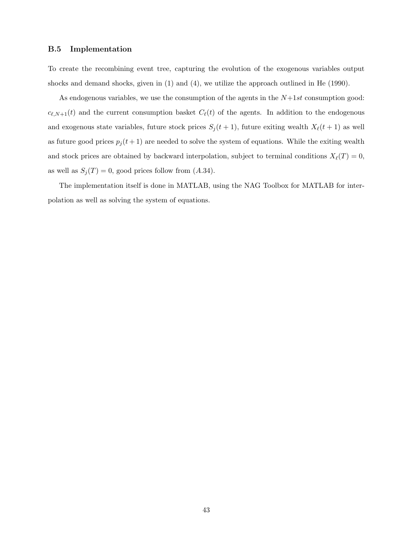## B.5 Implementation

To create the recombining event tree, capturing the evolution of the exogenous variables output shocks and demand shocks, given in (1) and (4), we utilize the approach outlined in He (1990).

As endogenous variables, we use the consumption of the agents in the  $N+1st$  consumption good:  $c_{\ell,N+1}(t)$  and the current consumption basket  $C_{\ell}(t)$  of the agents. In addition to the endogenous and exogenous state variables, future stock prices  $S_j(t + 1)$ , future exiting wealth  $X_\ell(t + 1)$  as well as future good prices  $p_j(t+1)$  are needed to solve the system of equations. While the exiting wealth and stock prices are obtained by backward interpolation, subject to terminal conditions  $X_{\ell}(T) = 0$ , as well as  $S_i(T) = 0$ , good prices follow from  $(A.34)$ .

The implementation itself is done in MATLAB, using the NAG Toolbox for MATLAB for interpolation as well as solving the system of equations.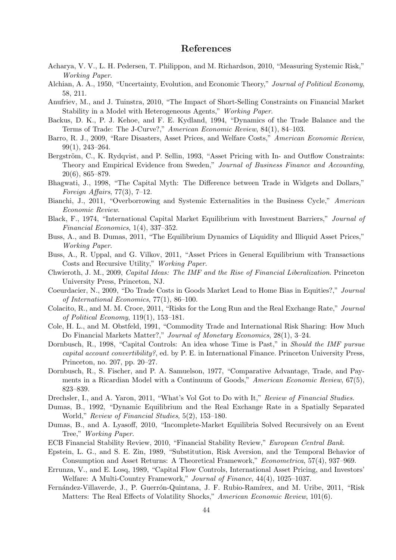## References

- Acharya, V. V., L. H. Pedersen, T. Philippon, and M. Richardson, 2010, "Measuring Systemic Risk," Working Paper.
- Alchian, A. A., 1950, "Uncertainty, Evolution, and Economic Theory," Journal of Political Economy, 58, 211.
- Anufriev, M., and J. Tuinstra, 2010, "The Impact of Short-Selling Constraints on Financial Market Stability in a Model with Heterogeneous Agents," Working Paper.
- Backus, D. K., P. J. Kehoe, and F. E. Kydland, 1994, "Dynamics of the Trade Balance and the Terms of Trade: The J-Curve?," American Economic Review, 84(1), 84–103.
- Barro, R. J., 2009, "Rare Disasters, Asset Prices, and Welfare Costs," American Economic Review, 99(1), 243–264.
- Bergström, C., K. Rydqvist, and P. Sellin, 1993, "Asset Pricing with In- and Outflow Constraints: Theory and Empirical Evidence from Sweden," Journal of Business Finance and Accounting, 20(6), 865–879.
- Bhagwati, J., 1998, "The Capital Myth: The Difference between Trade in Widgets and Dollars," Foreign Affairs,  $77(3)$ ,  $7-12$ .
- Bianchi, J., 2011, "Overborrowing and Systemic Externalities in the Business Cycle," American Economic Review.
- Black, F., 1974, "International Capital Market Equilibrium with Investment Barriers," Journal of Financial Economics, 1(4), 337–352.
- Buss, A., and B. Dumas, 2011, "The Equilibrium Dynamics of Liquidity and Illiquid Asset Prices," Working Paper.
- Buss, A., R. Uppal, and G. Vilkov, 2011, "Asset Prices in General Equilibrium with Transactions Costs and Recursive Utility," Working Paper.
- Chwieroth, J. M., 2009, Capital Ideas: The IMF and the Rise of Financial Liberalization. Princeton University Press, Princeton, NJ.
- Coeurdacier, N., 2009, "Do Trade Costs in Goods Market Lead to Home Bias in Equities?," Journal of International Economics, 77(1), 86–100.
- Colacito, R., and M. M. Croce, 2011, "Risks for the Long Run and the Real Exchange Rate," Journal of Political Economy, 119(1), 153–181.
- Cole, H. L., and M. Obstfeld, 1991, "Commodity Trade and International Risk Sharing: How Much Do Financial Markets Matter?," Journal of Monetary Economics, 28(1), 3–24.
- Dornbusch, R., 1998, "Capital Controls: An idea whose Time is Past," in *Should the IMF pursue* capital account convertibility?, ed. by P. E. in International Finance. Princeton University Press, Princeton, no. 207, pp. 20–27.
- Dornbusch, R., S. Fischer, and P. A. Samuelson, 1977, "Comparative Advantage, Trade, and Payments in a Ricardian Model with a Continuum of Goods," American Economic Review, 67(5), 823–839.
- Drechsler, I., and A. Yaron, 2011, "What's Vol Got to Do with It," Review of Financial Studies.
- Dumas, B., 1992, "Dynamic Equilibrium and the Real Exchange Rate in a Spatially Separated World," Review of Financial Studies, 5(2), 153–180.
- Dumas, B., and A. Lyasoff, 2010, "Incomplete-Market Equilibria Solved Recursively on an Event Tree," Working Paper.
- ECB Financial Stability Review, 2010, "Financial Stability Review," European Central Bank.
- Epstein, L. G., and S. E. Zin, 1989, "Substitution, Risk Aversion, and the Temporal Behavior of Consumption and Asset Returns: A Theoretical Framework," Econometrica, 57(4), 937–969.
- Errunza, V., and E. Losq, 1989, "Capital Flow Controls, International Asset Pricing, and Investors' Welfare: A Multi-Country Framework," Journal of Finance, 44(4), 1025–1037.
- Fernández-Villaverde, J., P. Guerrón-Quintana, J. F. Rubio-Ramírex, and M. Uribe, 2011, "Risk Matters: The Real Effects of Volatility Shocks," American Economic Review, 101(6).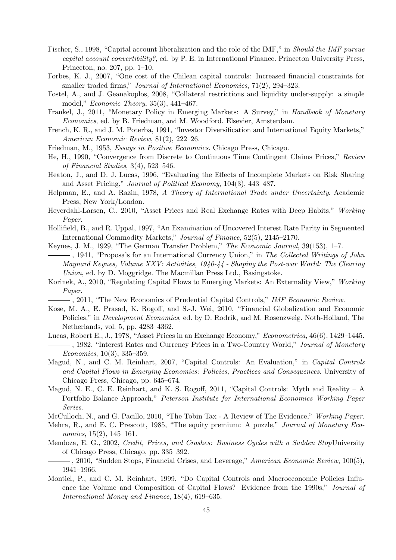- Fischer, S., 1998, "Capital account liberalization and the role of the IMF," in Should the IMF pursue capital account convertibility?, ed. by P. E. in International Finance. Princeton University Press, Princeton, no. 207, pp. 1–10.
- Forbes, K. J., 2007, "One cost of the Chilean capital controls: Increased financial constraints for smaller traded firms," Journal of International Economics, 71(2), 294–323.
- Fostel, A., and J. Geanakoplos, 2008, "Collateral restrictions and liquidity under-supply: a simple model," Economic Theory, 35(3), 441–467.
- Frankel, J., 2011, "Monetary Policy in Emerging Markets: A Survey," in Handbook of Monetary Economics, ed. by B. Friedman, and M. Woodford. Elsevier, Amsterdam.
- French, K. R., and J. M. Poterba, 1991, "Investor Diversification and International Equity Markets," American Economic Review, 81(2), 222–26.
- Friedman, M., 1953, Essays in Positive Economics. Chicago Press, Chicago.
- He, H., 1990, "Convergence from Discrete to Continuous Time Contingent Claims Prices," Review of Financial Studies, 3(4), 523–546.
- Heaton, J., and D. J. Lucas, 1996, "Evaluating the Effects of Incomplete Markets on Risk Sharing and Asset Pricing," Journal of Political Economy, 104(3), 443–487.
- Helpman, E., and A. Razin, 1978, A Theory of International Trade under Uncertainty. Academic Press, New York/London.
- Heyerdahl-Larsen, C., 2010, "Asset Prices and Real Exchange Rates with Deep Habits," Working Paper.
- Hollifield, B., and R. Uppal, 1997, "An Examination of Uncovered Interest Rate Parity in Segmented International Commodity Markets," Journal of Finance, 52(5), 2145–2170.
- Keynes, J. M., 1929, "The German Transfer Problem," The Economic Journal, 39(153), 1–7.
- $\overline{\phantom{a}}$ , 1941, "Proposals for an International Currency Union," in The Collected Writings of John Maynard Keynes, Volume XXV: Activities, 1940-44 - Shaping the Post-war World: The Clearing Union, ed. by D. Moggridge. The Macmillan Press Ltd., Basingstoke.
- Korinek, A., 2010, "Regulating Capital Flows to Emerging Markets: An Externality View," Working Paper.
	- $\longrightarrow$ , 2011, "The New Economics of Prudential Capital Controls," *IMF Economic Review.*
- Kose, M. A., E. Prasad, K. Rogoff, and S.-J. Wei, 2010, "Financial Globalization and Economic Policies," in Development Economics, ed. by D. Rodrik, and M. Rosenzweig. Noth-Holland, The Netherlands, vol. 5, pp. 4283–4362.
- Lucas, Robert E., J., 1978, "Asset Prices in an Exchange Economy," Econometrica, 46(6), 1429–1445.  $-$ , 1982, "Interest Rates and Currency Prices in a Two-Country World," *Journal of Monetary* Economics, 10(3), 335–359.
- Magud, N., and C. M. Reinhart, 2007, "Capital Controls: An Evaluation," in Capital Controls and Capital Flows in Emerging Economies: Policies, Practices and Consequences. University of Chicago Press, Chicago, pp. 645–674.
- Magud, N. E., C. E. Reinhart, and K. S. Rogoff, 2011, "Capital Controls: Myth and Reality A Portfolio Balance Approach," Peterson Institute for International Economics Working Paper Series.
- McCulloch, N., and G. Pacillo, 2010, "The Tobin Tax A Review of The Evidence," Working Paper.
- Mehra, R., and E. C. Prescott, 1985, "The equity premium: A puzzle," Journal of Monetary Economics, 15(2), 145–161.
- Mendoza, E. G., 2002, Credit, Prices, and Crashes: Business Cycles with a Sudden StopUniversity of Chicago Press, Chicago, pp. 335–392.
- , 2010, "Sudden Stops, Financial Crises, and Leverage," American Economic Review, 100(5), 1941–1966.
- Montiel, P., and C. M. Reinhart, 1999, "Do Capital Controls and Macroeconomic Policies Influence the Volume and Composition of Capital Flows? Evidence from the 1990s," Journal of International Money and Finance, 18(4), 619–635.